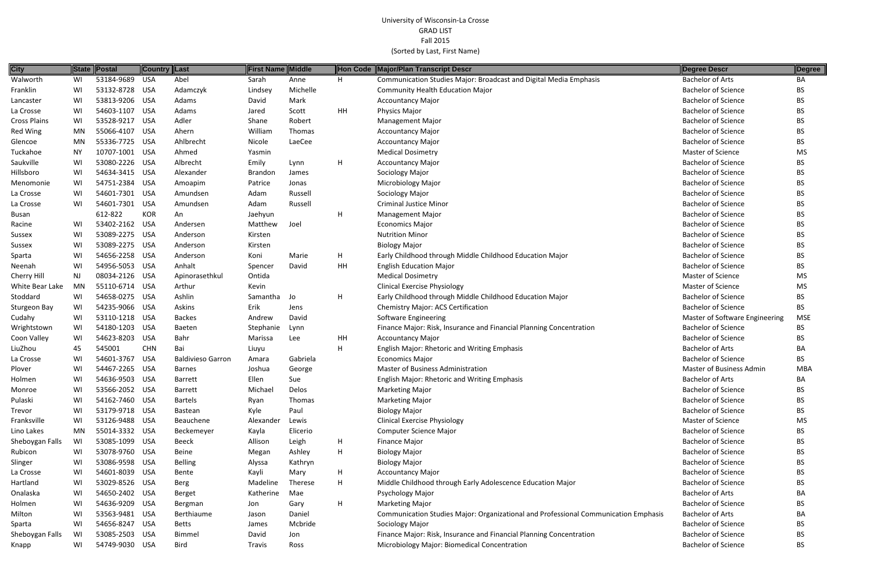| <b>City</b>         | <b>State</b> | Postal         | Country Last |                          | <b>First Name Middle</b> |          |    | Hon Code Major/Plan Transcript Descr                                                | Degree Descr                   | Degree     |
|---------------------|--------------|----------------|--------------|--------------------------|--------------------------|----------|----|-------------------------------------------------------------------------------------|--------------------------------|------------|
| Walworth            | WI           | 53184-9689 USA |              | Abel                     | Sarah                    | Anne     | H  | Communication Studies Major: Broadcast and Digital Media Emphasis                   | <b>Bachelor of Arts</b>        | BA         |
| Franklin            | WI           | 53132-8728 USA |              | Adamczyk                 | Lindsey                  | Michelle |    | <b>Community Health Education Major</b>                                             | <b>Bachelor of Science</b>     | BS         |
| Lancaster           | WI           | 53813-9206 USA |              | Adams                    | David                    | Mark     |    | <b>Accountancy Major</b>                                                            | <b>Bachelor of Science</b>     | BS         |
| La Crosse           | WI           | 54603-1107     | USA          | Adams                    | Jared                    | Scott    | HH | Physics Major                                                                       | <b>Bachelor of Science</b>     | ВS         |
| <b>Cross Plains</b> | WI           | 53528-9217     | USA          | Adler                    | Shane                    | Robert   |    | <b>Management Major</b>                                                             | <b>Bachelor of Science</b>     | ВS         |
| <b>Red Wing</b>     | MN           | 55066-4107     | USA          | Ahern                    | William                  | Thomas   |    | <b>Accountancy Major</b>                                                            | <b>Bachelor of Science</b>     | ВS         |
| Glencoe             | MN           | 55336-7725 USA |              | Ahlbrecht                | Nicole                   | LaeCee   |    | <b>Accountancy Major</b>                                                            | <b>Bachelor of Science</b>     | ВS         |
| Tuckahoe            | ΝY           | 10707-1001     | USA          | Ahmed                    | Yasmin                   |          |    | <b>Medical Dosimetry</b>                                                            | Master of Science              | MS         |
| Saukville           | WI           | 53080-2226 USA |              | Albrecht                 | Emily                    | Lynn     | H  | <b>Accountancy Major</b>                                                            | <b>Bachelor of Science</b>     | ВS         |
| Hillsboro           | WI           | 54634-3415 USA |              | Alexander                | Brandon                  | James    |    | Sociology Major                                                                     | <b>Bachelor of Science</b>     | ВS         |
| Menomonie           | WI           | 54751-2384 USA |              | Amoapim                  | Patrice                  | Jonas    |    | Microbiology Major                                                                  | <b>Bachelor of Science</b>     | BS         |
| La Crosse           | WI           | 54601-7301 USA |              | Amundsen                 | Adam                     | Russell  |    | Sociology Major                                                                     | <b>Bachelor of Science</b>     | BS         |
| La Crosse           | WI           | 54601-7301     | USA          | Amundsen                 | Adam                     | Russell  |    | <b>Criminal Justice Minor</b>                                                       | <b>Bachelor of Science</b>     | ВS         |
| <b>Busan</b>        |              | 612-822        | <b>KOR</b>   | An                       | Jaehyun                  |          | н  | Management Major                                                                    | <b>Bachelor of Science</b>     | ВS         |
| Racine              | WI           | 53402-2162 USA |              | Andersen                 | Matthew                  | Joel     |    | <b>Economics Major</b>                                                              | <b>Bachelor of Science</b>     | ВS         |
| Sussex              | WI           | 53089-2275 USA |              | Anderson                 | Kirsten                  |          |    | <b>Nutrition Minor</b>                                                              | <b>Bachelor of Science</b>     | ВS         |
| Sussex              | WI           | 53089-2275 USA |              | Anderson                 | Kirsten                  |          |    | <b>Biology Major</b>                                                                | <b>Bachelor of Science</b>     | ВS         |
| Sparta              | WI           | 54656-2258 USA |              | Anderson                 | Koni                     | Marie    | H  | Early Childhood through Middle Childhood Education Major                            | <b>Bachelor of Science</b>     | BS         |
| Neenah              | WI           | 54956-5053 USA |              | Anhalt                   | Spencer                  | David    | HH | <b>English Education Major</b>                                                      | <b>Bachelor of Science</b>     | ВS         |
| <b>Cherry Hill</b>  | NJ           | 08034-2126 USA |              | Apinorasethkul           | Ontida                   |          |    | <b>Medical Dosimetry</b>                                                            | Master of Science              | MS         |
| White Bear Lake     | MN           | 55110-6714 USA |              | Arthur                   | Kevin                    |          |    | <b>Clinical Exercise Physiology</b>                                                 | <b>Master of Science</b>       | MS         |
| Stoddard            | WI           | 54658-0275 USA |              | Ashlin                   | Samantha Jo              |          | н  | Early Childhood through Middle Childhood Education Major                            | <b>Bachelor of Science</b>     | <b>BS</b>  |
| Sturgeon Bay        | WI           | 54235-9066 USA |              | Askins                   | Erik                     | Jens     |    | Chemistry Major: ACS Certification                                                  | <b>Bachelor of Science</b>     | BS.        |
| Cudahy              | WI           | 53110-1218 USA |              | <b>Backes</b>            | Andrew                   | David    |    | Software Engineering                                                                | Master of Software Engineering | <b>MSE</b> |
| Wrightstown         | WI           | 54180-1203 USA |              | <b>Baeten</b>            | Stephanie                | Lynn     |    | Finance Major: Risk, Insurance and Financial Planning Concentration                 | <b>Bachelor of Science</b>     | BS         |
| Coon Valley         | WI           | 54623-8203     | USA          | Bahr                     | Marissa                  | Lee      | HH | <b>Accountancy Major</b>                                                            | <b>Bachelor of Science</b>     | ВS         |
| LiuZhou             | 45           | 545001         | <b>CHN</b>   | Bai                      | Liuyu                    |          | H  | English Major: Rhetoric and Writing Emphasis                                        | <b>Bachelor of Arts</b>        | BA         |
| La Crosse           | WI           | 54601-3767     | USA          | <b>Baldivieso Garron</b> | Amara                    | Gabriela |    | <b>Economics Major</b>                                                              | <b>Bachelor of Science</b>     | ВS         |
| Plover              | WI           | 54467-2265 USA |              | <b>Barnes</b>            | Joshua                   | George   |    | <b>Master of Business Administration</b>                                            | Master of Business Admin       | <b>MBA</b> |
| Holmen              | WI           | 54636-9503 USA |              | Barrett                  | Ellen                    | Sue      |    | English Major: Rhetoric and Writing Emphasis                                        | <b>Bachelor of Arts</b>        | BA         |
| Monroe              | WI.          | 53566-2052 USA |              | <b>Barrett</b>           | Michael                  | Delos    |    | <b>Marketing Major</b>                                                              | <b>Bachelor of Science</b>     | BS         |
| Pulaski             | WI           | 54162-7460 USA |              | <b>Bartels</b>           | Ryan                     | Thomas   |    | <b>Marketing Major</b>                                                              | <b>Bachelor of Science</b>     | ВS         |
| Trevor              | WI           | 53179-9718 USA |              | Bastean                  | Kyle                     | Paul     |    | <b>Biology Major</b>                                                                | <b>Bachelor of Science</b>     | ВS         |
| Franksville         | WI           | 53126-9488 USA |              | Beauchene                | Alexander                | Lewis    |    | <b>Clinical Exercise Physiology</b>                                                 | Master of Science              | MS         |
| Lino Lakes          | MN           | 55014-3332 USA |              | Beckemeyer               | Kayla                    | Elicerio |    | <b>Computer Science Major</b>                                                       | <b>Bachelor of Science</b>     | ВS         |
| Sheboygan Falls     | WI           | 53085-1099 USA |              | <b>Beeck</b>             | Allison                  | Leigh    | H  | Finance Major                                                                       | <b>Bachelor of Science</b>     | BS         |
| Rubicon             | WI           | 53078-9760 USA |              | Beine                    | Megan                    | Ashley   | H  | <b>Biology Major</b>                                                                | <b>Bachelor of Science</b>     | BS         |
| Slinger             | WI           | 53086-9598 USA |              | <b>Belling</b>           | Alyssa                   | Kathryn  |    | <b>Biology Major</b>                                                                | <b>Bachelor of Science</b>     | BS         |
| La Crosse           | WI           | 54601-8039 USA |              | Bente                    | Kayli                    | Mary     | H  | <b>Accountancy Major</b>                                                            | <b>Bachelor of Science</b>     | ВS         |
| Hartland            | WI           | 53029-8526 USA |              | <b>Berg</b>              | Madeline                 | Therese  | H  | Middle Childhood through Early Adolescence Education Major                          | <b>Bachelor of Science</b>     | BS         |
| Onalaska            | WI           | 54650-2402 USA |              | Berget                   | Katherine                | Mae      |    | Psychology Major                                                                    | <b>Bachelor of Arts</b>        | BA         |
| Holmen              | WI           | 54636-9209 USA |              | Bergman                  | Jon                      | Gary     | H  | <b>Marketing Major</b>                                                              | <b>Bachelor of Science</b>     | ВS         |
| Milton              | WI           | 53563-9481 USA |              | Berthiaume               | Jason                    | Daniel   |    | Communication Studies Major: Organizational and Professional Communication Emphasis | <b>Bachelor of Arts</b>        | BA         |
| Sparta              | WI           | 54656-8247 USA |              | <b>Betts</b>             | James                    | Mcbride  |    | Sociology Major                                                                     | <b>Bachelor of Science</b>     | BS         |
| Sheboygan Falls     | WI           | 53085-2503 USA |              | <b>Bimmel</b>            | David                    | Jon      |    | Finance Major: Risk, Insurance and Financial Planning Concentration                 | <b>Bachelor of Science</b>     | BS         |
| Knapp               | WI           | 54749-9030 USA |              | Bird                     | Travis                   | Ross     |    | Microbiology Major: Biomedical Concentration                                        | <b>Bachelor of Science</b>     | ВS         |

|        | <b>Degree Descr</b>             | Degree     |
|--------|---------------------------------|------------|
|        | <b>Bachelor of Arts</b>         | BА         |
|        | <b>Bachelor of Science</b>      | BS         |
|        | <b>Bachelor of Science</b>      | BS         |
|        | <b>Bachelor of Science</b>      | <b>BS</b>  |
|        | <b>Bachelor of Science</b>      | <b>BS</b>  |
|        | <b>Bachelor of Science</b>      | <b>BS</b>  |
|        | <b>Bachelor of Science</b>      | <b>BS</b>  |
|        | Master of Science               | <b>MS</b>  |
|        | <b>Bachelor of Science</b>      | <b>BS</b>  |
|        | <b>Bachelor of Science</b>      | BS         |
|        | <b>Bachelor of Science</b>      | <b>BS</b>  |
|        | <b>Bachelor of Science</b>      | BS         |
|        | <b>Bachelor of Science</b>      | BS         |
|        | <b>Bachelor of Science</b>      | <b>BS</b>  |
|        | <b>Bachelor of Science</b>      | <b>BS</b>  |
|        | <b>Bachelor of Science</b>      | BS         |
|        | <b>Bachelor of Science</b>      | BS         |
|        | <b>Bachelor of Science</b>      | <b>BS</b>  |
|        | <b>Bachelor of Science</b>      | <b>BS</b>  |
|        | <b>Master of Science</b>        | <b>MS</b>  |
|        | <b>Master of Science</b>        | MS         |
|        | <b>Bachelor of Science</b>      | ΒS         |
|        | <b>Bachelor of Science</b>      | ΒS         |
|        | Master of Software Engineering  | <b>MSE</b> |
|        | <b>Bachelor of Science</b>      | ΒS         |
|        | <b>Bachelor of Science</b>      | BS.        |
|        | <b>Bachelor of Arts</b>         | BА         |
|        | <b>Bachelor of Science</b>      | <b>BS</b>  |
|        | <b>Master of Business Admin</b> | <b>MBA</b> |
|        | Bachelor of Arts                | ΒA         |
|        | <b>Bachelor of Science</b>      | ВS         |
|        | <b>Bachelor of Science</b>      | BS         |
|        | <b>Bachelor of Science</b>      | BS         |
|        | <b>Master of Science</b>        | MS         |
|        | <b>Bachelor of Science</b>      | ΒS         |
|        | <b>Bachelor of Science</b>      | BS         |
|        | <b>Bachelor of Science</b>      | BS         |
|        | <b>Bachelor of Science</b>      | BS         |
|        | <b>Bachelor of Science</b>      | ВS         |
|        | <b>Bachelor of Science</b>      | BS         |
|        | <b>Bachelor of Arts</b>         | BA         |
|        | <b>Bachelor of Science</b>      | ВS         |
| phasis | <b>Bachelor of Arts</b>         | BA         |
|        | <b>Bachelor of Science</b>      | ВS         |
|        | <b>Bachelor of Science</b>      | BS         |
|        | <b>Bachelor of Science</b>      | BS         |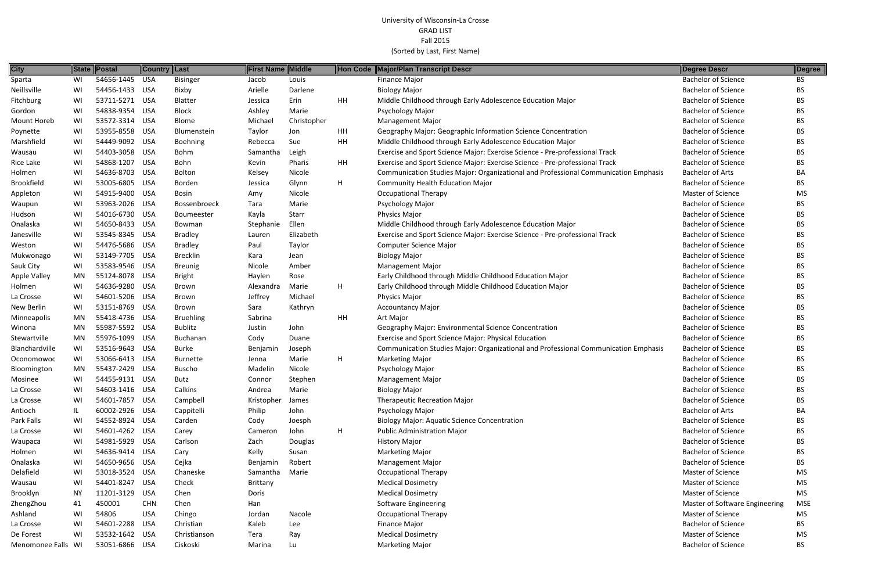| <b>City</b>        |     | State Postal   | Country Last |                  | <b>First Name Middle</b> |             |    | Hon Code Major/Plan Transcript Descr                                                | Degree Descr                   | Degree     |
|--------------------|-----|----------------|--------------|------------------|--------------------------|-------------|----|-------------------------------------------------------------------------------------|--------------------------------|------------|
| Sparta             | WI  | 54656-1445 USA |              | <b>Bisinger</b>  | Jacob                    | Louis       |    | <b>Finance Major</b>                                                                | <b>Bachelor of Science</b>     | BS         |
| Neillsville        | WI  | 54456-1433 USA |              | Bixby            | Arielle                  | Darlene     |    | <b>Biology Major</b>                                                                | <b>Bachelor of Science</b>     | BS.        |
| Fitchburg          | WI  | 53711-5271 USA |              | Blatter          | Jessica                  | Erin        | HH | Middle Childhood through Early Adolescence Education Major                          | <b>Bachelor of Science</b>     | <b>BS</b>  |
| Gordon             | WI  | 54838-9354 USA |              | <b>Block</b>     | Ashley                   | Marie       |    | Psychology Major                                                                    | <b>Bachelor of Science</b>     | <b>BS</b>  |
| Mount Horeb        | WI  | 53572-3314 USA |              | <b>Blome</b>     | Michael                  | Christopher |    | <b>Management Major</b>                                                             | <b>Bachelor of Science</b>     | <b>BS</b>  |
| Poynette           | WI  | 53955-8558 USA |              | Blumenstein      | Taylor                   | Jon         | HH | Geography Major: Geographic Information Science Concentration                       | <b>Bachelor of Science</b>     | <b>BS</b>  |
| Marshfield         | WI  | 54449-9092 USA |              | Boehning         | Rebecca                  | Sue         | HH | Middle Childhood through Early Adolescence Education Major                          | <b>Bachelor of Science</b>     | BS.        |
| Wausau             | WI  | 54403-3058 USA |              | Bohm             | Samantha                 | Leigh       |    | Exercise and Sport Science Major: Exercise Science - Pre-professional Track         | <b>Bachelor of Science</b>     | BS         |
| Rice Lake          | WI  | 54868-1207     | USA          | Bohn             | Kevin                    | Pharis      | HH | Exercise and Sport Science Major: Exercise Science - Pre-professional Track         | <b>Bachelor of Science</b>     | <b>BS</b>  |
| Holmen             | WI  | 54636-8703 USA |              | Bolton           | Kelsey                   | Nicole      |    | Communication Studies Major: Organizational and Professional Communication Emphasis | <b>Bachelor of Arts</b>        | BA         |
| <b>Brookfield</b>  | WI  | 53005-6805 USA |              | Borden           | Jessica                  | Glynn       | H  | <b>Community Health Education Major</b>                                             | <b>Bachelor of Science</b>     | <b>BS</b>  |
| Appleton           | WI  | 54915-9400     | USA          | <b>Bosin</b>     | Amy                      | Nicole      |    | <b>Occupational Therapy</b>                                                         | Master of Science              | MS         |
| Waupun             | WI  | 53963-2026 USA |              | Bossenbroeck     | Tara                     | Marie       |    | Psychology Major                                                                    | <b>Bachelor of Science</b>     | <b>BS</b>  |
| Hudson             | WI  | 54016-6730 USA |              | Boumeester       | Kayla                    | Starr       |    | Physics Major                                                                       | <b>Bachelor of Science</b>     | <b>BS</b>  |
| Onalaska           | WI  | 54650-8433 USA |              | Bowman           | Stephanie                | Ellen       |    | Middle Childhood through Early Adolescence Education Major                          | <b>Bachelor of Science</b>     | <b>BS</b>  |
| Janesville         | WI  | 53545-8345 USA |              | <b>Bradley</b>   | Lauren                   | Elizabeth   |    | Exercise and Sport Science Major: Exercise Science - Pre-professional Track         | <b>Bachelor of Science</b>     | <b>BS</b>  |
| Weston             | WI  | 54476-5686 USA |              | <b>Bradley</b>   | Paul                     | Taylor      |    | <b>Computer Science Major</b>                                                       | <b>Bachelor of Science</b>     | <b>BS</b>  |
| Mukwonago          | WI  | 53149-7705 USA |              | <b>Brecklin</b>  | Kara                     | Jean        |    | <b>Biology Major</b>                                                                | <b>Bachelor of Science</b>     | <b>BS</b>  |
| Sauk City          | WI  | 53583-9546 USA |              | <b>Breunig</b>   | Nicole                   | Amber       |    | <b>Management Major</b>                                                             | <b>Bachelor of Science</b>     | BS.        |
| Apple Valley       | MN  | 55124-8078 USA |              | <b>Bright</b>    | Haylen                   | Rose        |    | Early Childhood through Middle Childhood Education Major                            | <b>Bachelor of Science</b>     | <b>BS</b>  |
| Holmen             | WI  | 54636-9280 USA |              | <b>Brown</b>     | Alexandra                | Marie       | H  | Early Childhood through Middle Childhood Education Major                            | <b>Bachelor of Science</b>     | <b>BS</b>  |
| La Crosse          | WI  | 54601-5206 USA |              | <b>Brown</b>     | Jeffrey                  | Michael     |    | Physics Major                                                                       | <b>Bachelor of Science</b>     | <b>BS</b>  |
| New Berlin         | WI  | 53151-8769 USA |              | Brown            | Sara                     | Kathryn     |    | <b>Accountancy Major</b>                                                            | <b>Bachelor of Science</b>     | <b>BS</b>  |
| Minneapolis        | MN  | 55418-4736 USA |              | <b>Bruehling</b> | Sabrina                  |             | HH | Art Major                                                                           | <b>Bachelor of Science</b>     | <b>BS</b>  |
| Winona             | MN  | 55987-5592 USA |              | Bublitz          | Justin                   | John        |    | Geography Major: Environmental Science Concentration                                | <b>Bachelor of Science</b>     | <b>BS</b>  |
| Stewartville       | MN  | 55976-1099     | USA          | Buchanan         | Cody                     | Duane       |    | Exercise and Sport Science Major: Physical Education                                | <b>Bachelor of Science</b>     | <b>BS</b>  |
| Blanchardville     | WI  | 53516-9643 USA |              | <b>Burke</b>     | Benjamin                 | Joseph      |    | Communication Studies Major: Organizational and Professional Communication Emphasis | <b>Bachelor of Science</b>     | <b>BS</b>  |
| Oconomowoc         | WI  | 53066-6413 USA |              | <b>Burnette</b>  | Jenna                    | Marie       | H  | <b>Marketing Major</b>                                                              | <b>Bachelor of Science</b>     | <b>BS</b>  |
| Bloomington        | MN  | 55437-2429 USA |              | <b>Buscho</b>    | Madelin                  | Nicole      |    | Psychology Major                                                                    | <b>Bachelor of Science</b>     | <b>BS</b>  |
| Mosinee            | WI  | 54455-9131 USA |              | Butz             | Connor                   | Stephen     |    | <b>Management Major</b>                                                             | <b>Bachelor of Science</b>     | <b>BS</b>  |
| La Crosse          | WI  | 54603-1416 USA |              | Calkins          | Andrea                   | Marie       |    | <b>Biology Major</b>                                                                | <b>Bachelor of Science</b>     | <b>BS</b>  |
| La Crosse          | WI  | 54601-7857 USA |              | Campbell         | Kristopher               | James       |    | <b>Therapeutic Recreation Major</b>                                                 | <b>Bachelor of Science</b>     | <b>BS</b>  |
| Antioch            | IL. | 60002-2926 USA |              | Cappitelli       | Philip                   | John        |    | Psychology Major                                                                    | <b>Bachelor of Arts</b>        | BA         |
| Park Falls         | WI  | 54552-8924 USA |              | Carden           | Cody                     | Joesph      |    | <b>Biology Major: Aquatic Science Concentration</b>                                 | <b>Bachelor of Science</b>     | BS         |
| La Crosse          | WI  | 54601-4262 USA |              | Carey            | Cameron                  | John        | H  | <b>Public Administration Major</b>                                                  | <b>Bachelor of Science</b>     | <b>BS</b>  |
| Waupaca            | WI  | 54981-5929 USA |              | Carlson          | Zach                     | Douglas     |    | <b>History Major</b>                                                                | <b>Bachelor of Science</b>     | <b>BS</b>  |
| Holmen             | WI  | 54636-9414 USA |              | Cary             | Kelly                    | Susan       |    | <b>Marketing Major</b>                                                              | <b>Bachelor of Science</b>     | <b>BS</b>  |
| Onalaska           | WI  | 54650-9656 USA |              | Cejka            | Benjamin                 | Robert      |    | <b>Management Major</b>                                                             | <b>Bachelor of Science</b>     | <b>BS</b>  |
| Delafield          | WI  | 53018-3524 USA |              | Chaneske         | Samantha                 | Marie       |    | <b>Occupational Therapy</b>                                                         | Master of Science              | <b>MS</b>  |
| Wausau             | WI  | 54401-8247 USA |              | Check            | <b>Brittany</b>          |             |    | <b>Medical Dosimetry</b>                                                            | Master of Science              | <b>MS</b>  |
| Brooklyn           | NY  | 11201-3129     | USA          | Chen             | Doris                    |             |    | <b>Medical Dosimetry</b>                                                            | Master of Science              | <b>MS</b>  |
| ZhengZhou          | 41  | 450001         | <b>CHN</b>   | Chen             | Han                      |             |    | <b>Software Engineering</b>                                                         | Master of Software Engineering | <b>MSE</b> |
| Ashland            | WI  | 54806          | <b>USA</b>   | Chingo           | Jordan                   | Nacole      |    | <b>Occupational Therapy</b>                                                         | Master of Science              | MS         |
| La Crosse          | WI  | 54601-2288     | USA          | Christian        | Kaleb                    | Lee         |    | Finance Major                                                                       | <b>Bachelor of Science</b>     | <b>BS</b>  |
| De Forest          | WI  | 53532-1642 USA |              | Christianson     | Tera                     | Ray         |    | <b>Medical Dosimetry</b>                                                            | Master of Science              | MS         |
| Menomonee Falls WI |     | 53051-6866 USA |              | Ciskoski         | Marina                   | Lu          |    | <b>Marketing Major</b>                                                              | <b>Bachelor of Science</b>     | <b>BS</b>  |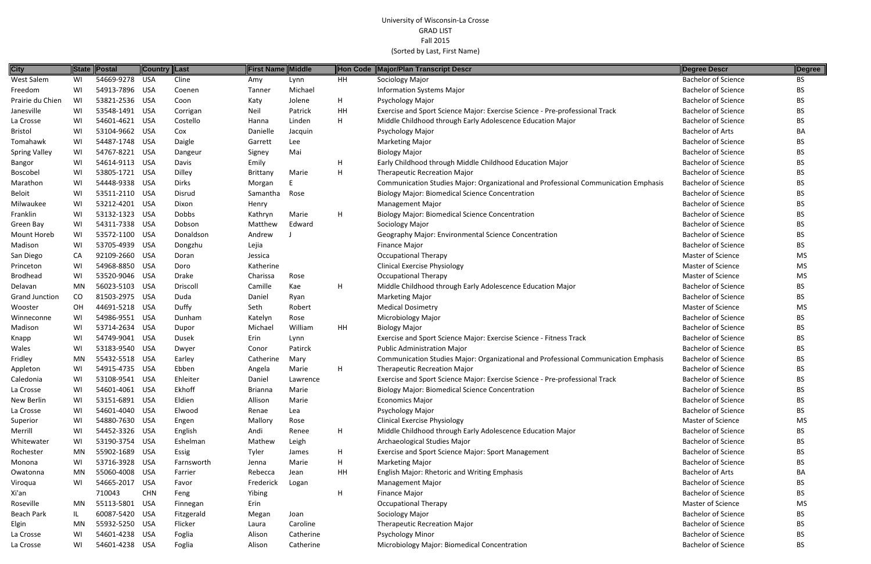| <b>City</b>           |           | State Postal   | ∥Country ∥Last |              | <b>First Name Middle</b> |           | Hon Code    | Major/Plan Transcript Descr                                                         | Degree Descr               | Degree    |
|-----------------------|-----------|----------------|----------------|--------------|--------------------------|-----------|-------------|-------------------------------------------------------------------------------------|----------------------------|-----------|
| <b>West Salem</b>     | WI        | 54669-9278 USA |                | Cline        | Amy                      | Lynn      | <b>HH</b>   | Sociology Major                                                                     | <b>Bachelor of Science</b> | BS        |
| Freedom               | WI        | 54913-7896 USA |                | Coenen       | Tanner                   | Michael   |             | <b>Information Systems Major</b>                                                    | <b>Bachelor of Science</b> | <b>BS</b> |
| Prairie du Chien      | WI        | 53821-2536 USA |                | Coon         | Katy                     | Jolene    | H           | Psychology Major                                                                    | <b>Bachelor of Science</b> | BS.       |
| Janesville            | WI        | 53548-1491 USA |                | Corrigan     | Neil                     | Patrick   | HH          | Exercise and Sport Science Major: Exercise Science - Pre-professional Track         | <b>Bachelor of Science</b> | <b>BS</b> |
| La Crosse             | WI        | 54601-4621 USA |                | Costello     | Hanna                    | Linden    | H           | Middle Childhood through Early Adolescence Education Major                          | <b>Bachelor of Science</b> | <b>BS</b> |
| <b>Bristol</b>        | WI        | 53104-9662 USA |                | Cox          | Danielle                 | Jacquin   |             | Psychology Major                                                                    | <b>Bachelor of Arts</b>    | BA        |
| Tomahawk              | WI        | 54487-1748 USA |                | Daigle       | Garrett                  | Lee       |             | <b>Marketing Major</b>                                                              | <b>Bachelor of Science</b> | <b>BS</b> |
| <b>Spring Valley</b>  | WI        | 54767-8221 USA |                | Dangeur      | Signey                   | Mai       |             | <b>Biology Major</b>                                                                | <b>Bachelor of Science</b> | <b>BS</b> |
| <b>Bangor</b>         | WI        | 54614-9113 USA |                | Davis        | Emily                    |           | H           | Early Childhood through Middle Childhood Education Major                            | <b>Bachelor of Science</b> | <b>BS</b> |
| Boscobel              | WI        | 53805-1721 USA |                | Dilley       | Brittany                 | Marie     | H           | <b>Therapeutic Recreation Major</b>                                                 | <b>Bachelor of Science</b> | <b>BS</b> |
| Marathon              | WI        | 54448-9338 USA |                | <b>Dirks</b> | Morgan                   | F         |             | Communication Studies Major: Organizational and Professional Communication Emphasis | <b>Bachelor of Science</b> | <b>BS</b> |
| <b>Beloit</b>         | WI        | 53511-2110 USA |                | Disrud       | Samantha                 | Rose      |             | <b>Biology Major: Biomedical Science Concentration</b>                              | <b>Bachelor of Science</b> | <b>BS</b> |
| Milwaukee             | WI        | 53212-4201 USA |                | Dixon        | Henry                    |           |             | <b>Management Major</b>                                                             | <b>Bachelor of Science</b> | <b>BS</b> |
| Franklin              | WI        | 53132-1323 USA |                | <b>Dobbs</b> | Kathryn                  | Marie     | H           | <b>Biology Major: Biomedical Science Concentration</b>                              | <b>Bachelor of Science</b> | <b>BS</b> |
| Green Bay             | WI        | 54311-7338 USA |                | Dobson       | Matthew                  | Edward    |             | Sociology Major                                                                     | <b>Bachelor of Science</b> | <b>BS</b> |
| Mount Horeb           | WI        | 53572-1100 USA |                | Donaldson    | Andrew                   |           |             | Geography Major: Environmental Science Concentration                                | <b>Bachelor of Science</b> | <b>BS</b> |
| Madison               | WI        | 53705-4939 USA |                | Dongzhu      | Lejia                    |           |             | Finance Major                                                                       | <b>Bachelor of Science</b> | BS.       |
| San Diego             | CA        | 92109-2660 USA |                | Doran        | Jessica                  |           |             | <b>Occupational Therapy</b>                                                         | Master of Science          | MS        |
| Princeton             | WI        | 54968-8850 USA |                | Doro         | Katherine                |           |             | <b>Clinical Exercise Physiology</b>                                                 | <b>Master of Science</b>   | <b>MS</b> |
| <b>Brodhead</b>       | WI        | 53520-9046 USA |                | Drake        | Charissa                 | Rose      |             | <b>Occupational Therapy</b>                                                         | <b>Master of Science</b>   | <b>MS</b> |
| Delavan               | MN        | 56023-5103 USA |                | Driscoll     | Camille                  | Kae       | H           | Middle Childhood through Early Adolescence Education Major                          | <b>Bachelor of Science</b> | BS.       |
| <b>Grand Junction</b> | $\rm CO$  | 81503-2975 USA |                | Duda         | Daniel                   | Ryan      |             | <b>Marketing Major</b>                                                              | <b>Bachelor of Science</b> | BS.       |
| Wooster               | OH        | 44691-5218 USA |                | Duffy        | Seth                     | Robert    |             | <b>Medical Dosimetry</b>                                                            | Master of Science          | <b>MS</b> |
| Winneconne            | WI        | 54986-9551 USA |                | Dunham       | Katelyn                  | Rose      |             | <b>Microbiology Major</b>                                                           | <b>Bachelor of Science</b> | BS.       |
| Madison               | WI        | 53714-2634 USA |                | Dupor        | Michael                  | William   | HH          | <b>Biology Major</b>                                                                | <b>Bachelor of Science</b> | <b>BS</b> |
| Knapp                 | WI        | 54749-9041 USA |                | Dusek        | Erin                     | Lynn      |             | Exercise and Sport Science Major: Exercise Science - Fitness Track                  | <b>Bachelor of Science</b> | <b>BS</b> |
| Wales                 | WI        | 53183-9540 USA |                | Dwyer        | Conor                    | Patirck   |             | <b>Public Administration Major</b>                                                  | <b>Bachelor of Science</b> | <b>BS</b> |
| Fridley               | <b>MN</b> | 55432-5518 USA |                | Earley       | Catherine                | Mary      |             | Communication Studies Major: Organizational and Professional Communication Emphasis | <b>Bachelor of Science</b> | <b>BS</b> |
| Appleton              | WI        | 54915-4735 USA |                | Ebben        | Angela                   | Marie     | H           | <b>Therapeutic Recreation Major</b>                                                 | <b>Bachelor of Science</b> | BS.       |
| Caledonia             | WI        | 53108-9541 USA |                | Ehleiter     | Daniel                   | Lawrence  |             | Exercise and Sport Science Major: Exercise Science - Pre-professional Track         | <b>Bachelor of Science</b> | <b>BS</b> |
| La Crosse             | WI        | 54601-4061 USA |                | Ekhoff       | <b>Brianna</b>           | Marie     |             | <b>Biology Major: Biomedical Science Concentration</b>                              | <b>Bachelor of Science</b> | <b>BS</b> |
| New Berlin            | WI        | 53151-6891 USA |                | Eldien       | Allison                  | Marie     |             | <b>Economics Major</b>                                                              | <b>Bachelor of Science</b> | <b>BS</b> |
| La Crosse             | WI        | 54601-4040 USA |                | Elwood       | Renae                    | Lea       |             | Psychology Major                                                                    | <b>Bachelor of Science</b> | <b>BS</b> |
| Superior              | WI        | 54880-7630 USA |                | Engen        | Mallory                  | Rose      |             | <b>Clinical Exercise Physiology</b>                                                 | Master of Science          | <b>MS</b> |
| Merrill               | WI        | 54452-3326 USA |                | English      | Andi                     | Renee     | H           | Middle Childhood through Early Adolescence Education Major                          | <b>Bachelor of Science</b> | <b>BS</b> |
| Whitewater            | WI        | 53190-3754 USA |                | Eshelman     | Mathew                   | Leigh     |             | Archaeological Studies Major                                                        | <b>Bachelor of Science</b> | <b>BS</b> |
| Rochester             | MN.       | 55902-1689 USA |                | Essig        | Tyler                    | James     | H           | Exercise and Sport Science Major: Sport Management                                  | <b>Bachelor of Science</b> | <b>BS</b> |
| Monona                | WI        | 53716-3928 USA |                | Farnsworth   | Jenna                    | Marie     | H           | <b>Marketing Major</b>                                                              | <b>Bachelor of Science</b> | <b>BS</b> |
| Owatonna              | MN        | 55060-4008 USA |                | Farrier      | Rebecca                  | Jean      | HH          | English Major: Rhetoric and Writing Emphasis                                        | <b>Bachelor of Arts</b>    | <b>BA</b> |
| Viroqua               | WI        | 54665-2017 USA |                | Favor        | Frederick                | Logan     |             | <b>Management Major</b>                                                             | <b>Bachelor of Science</b> | <b>BS</b> |
| Xi'an                 |           | 710043         | <b>CHN</b>     | Feng         | Yibing                   |           | $\mathsf H$ | <b>Finance Major</b>                                                                | <b>Bachelor of Science</b> | <b>BS</b> |
| Roseville             | MN.       | 55113-5801 USA |                | Finnegan     | Erin                     |           |             | <b>Occupational Therapy</b>                                                         | Master of Science          | MS        |
| Beach Park            | IL.       | 60087-5420 USA |                | Fitzgerald   | Megan                    | Joan      |             | Sociology Major                                                                     | <b>Bachelor of Science</b> | <b>BS</b> |
| Elgin                 | MN        | 55932-5250 USA |                | Flicker      | Laura                    | Caroline  |             | <b>Therapeutic Recreation Major</b>                                                 | <b>Bachelor of Science</b> | <b>BS</b> |
| La Crosse             | WI        | 54601-4238 USA |                | Foglia       | Alison                   | Catherine |             | <b>Psychology Minor</b>                                                             | <b>Bachelor of Science</b> | <b>BS</b> |
| La Crosse             | WI        | 54601-4238 USA |                | Foglia       | Alison                   | Catherine |             | Microbiology Major: Biomedical Concentration                                        | <b>Bachelor of Science</b> | <b>BS</b> |
|                       |           |                |                |              |                          |           |             |                                                                                     |                            |           |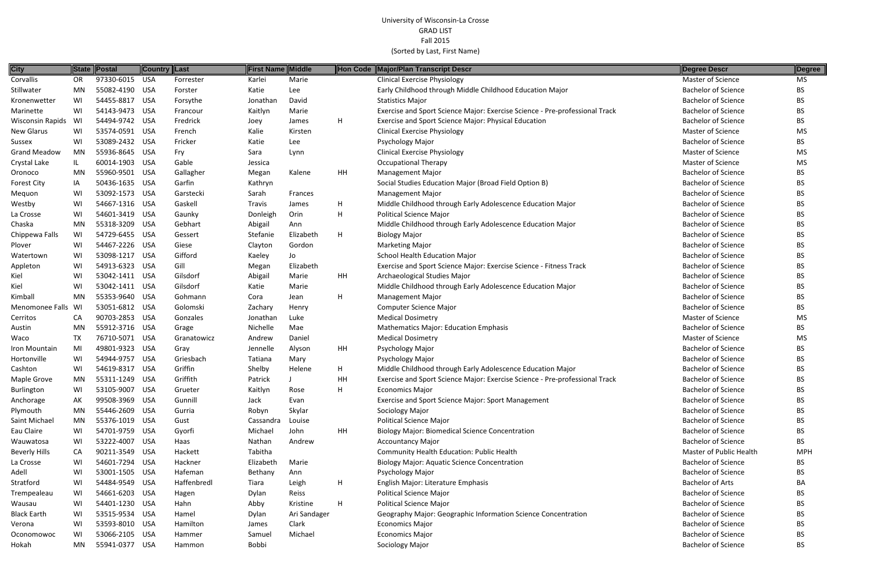| <b>City</b>             | State     | Postal         | <b>Country Last</b> |             | First Name | Middle       |    | Hon Code Major/Plan Transcript Descr                                        | Degree Descr               | Degree     |
|-------------------------|-----------|----------------|---------------------|-------------|------------|--------------|----|-----------------------------------------------------------------------------|----------------------------|------------|
| Corvallis               | OR        | 97330-6015 USA |                     | Forrester   | Karlei     | Marie        |    | <b>Clinical Exercise Physiology</b>                                         | Master of Science          | MS         |
| Stillwater              | MN        | 55082-4190 USA |                     | Forster     | Katie      | Lee          |    | Early Childhood through Middle Childhood Education Major                    | <b>Bachelor of Science</b> | BS.        |
| Kronenwetter            | WI        | 54455-8817 USA |                     | Forsythe    | Jonathan   | David        |    | <b>Statistics Major</b>                                                     | <b>Bachelor of Science</b> | ВS         |
| Marinette               | WI        | 54143-9473 USA |                     | Francour    | Kaitlyn    | Marie        |    | Exercise and Sport Science Major: Exercise Science - Pre-professional Track | <b>Bachelor of Science</b> | BS.        |
| <b>Wisconsin Rapids</b> | WI        | 54494-9742 USA |                     | Fredrick    | Joey       | James        | H  | Exercise and Sport Science Major: Physical Education                        | <b>Bachelor of Science</b> | ВS         |
| New Glarus              | WI        | 53574-0591 USA |                     | French      | Kalie      | Kirsten      |    | <b>Clinical Exercise Physiology</b>                                         | <b>Master of Science</b>   | MS         |
| Sussex                  | WI        | 53089-2432 USA |                     | Fricker     | Katie      | Lee          |    | Psychology Major                                                            | <b>Bachelor of Science</b> | BS.        |
| <b>Grand Meadow</b>     | MN        | 55936-8645 USA |                     | Fry         | Sara       | Lynn         |    | <b>Clinical Exercise Physiology</b>                                         | <b>Master of Science</b>   | MS.        |
| Crystal Lake            | IL.       | 60014-1903 USA |                     | Gable       | Jessica    |              |    | <b>Occupational Therapy</b>                                                 | Master of Science          | MS         |
| Oronoco                 | <b>MN</b> | 55960-9501 USA |                     | Gallagher   | Megan      | Kalene       | HH | <b>Management Major</b>                                                     | <b>Bachelor of Science</b> | <b>BS</b>  |
| <b>Forest City</b>      | IA        | 50436-1635 USA |                     | Garfin      | Kathryn    |              |    | Social Studies Education Major (Broad Field Option B)                       | <b>Bachelor of Science</b> | BS.        |
| Mequon                  | WI        | 53092-1573 USA |                     | Garstecki   | Sarah      | Frances      |    | <b>Management Major</b>                                                     | <b>Bachelor of Science</b> | BS.        |
| Westby                  | WI        | 54667-1316 USA |                     | Gaskell     | Travis     | James        | H  | Middle Childhood through Early Adolescence Education Major                  | <b>Bachelor of Science</b> | BS.        |
| La Crosse               | WI        | 54601-3419 USA |                     | Gaunky      | Donleigh   | Orin         | H  | <b>Political Science Major</b>                                              | <b>Bachelor of Science</b> | BS.        |
| Chaska                  | MN        | 55318-3209 USA |                     | Gebhart     | Abigail    | Ann          |    | Middle Childhood through Early Adolescence Education Major                  | <b>Bachelor of Science</b> | BS.        |
| Chippewa Falls          | WI        | 54729-6455 USA |                     | Gessert     | Stefanie   | Elizabeth    | H  | <b>Biology Major</b>                                                        | <b>Bachelor of Science</b> | BS.        |
| Plover                  | WI        | 54467-2226 USA |                     | Giese       | Clayton    | Gordon       |    | <b>Marketing Major</b>                                                      | <b>Bachelor of Science</b> | ВS         |
| Watertown               | WI        | 53098-1217 USA |                     | Gifford     | Kaeley     | Jo           |    | School Health Education Major                                               | <b>Bachelor of Science</b> | BS.        |
| Appleton                | WI        | 54913-6323 USA |                     | Gill        | Megan      | Elizabeth    |    | Exercise and Sport Science Major: Exercise Science - Fitness Track          | <b>Bachelor of Science</b> | BS.        |
| Kiel                    | WI        | 53042-1411 USA |                     | Gilsdorf    | Abigail    | Marie        | HH | Archaeological Studies Major                                                | <b>Bachelor of Science</b> | BS.        |
| Kiel                    | WI        | 53042-1411 USA |                     | Gilsdorf    | Katie      | Marie        |    | Middle Childhood through Early Adolescence Education Major                  | <b>Bachelor of Science</b> | BS.        |
| Kimball                 | MN        | 55353-9640 USA |                     | Gohmann     | Cora       | Jean         | H  | <b>Management Major</b>                                                     | <b>Bachelor of Science</b> | ВS         |
| Menomonee Falls WI      |           | 53051-6812 USA |                     | Golomski    | Zachary    | Henry        |    | Computer Science Major                                                      | <b>Bachelor of Science</b> | BS         |
| Cerritos                | CA        | 90703-2853 USA |                     | Gonzales    | Jonathan   | Luke         |    | <b>Medical Dosimetry</b>                                                    | Master of Science          | <b>MS</b>  |
| Austin                  | <b>MN</b> | 55912-3716 USA |                     | Grage       | Nichelle   | Mae          |    | <b>Mathematics Major: Education Emphasis</b>                                | <b>Bachelor of Science</b> | BS.        |
| Waco                    | TX        | 76710-5071 USA |                     | Granatowicz | Andrew     | Daniel       |    | <b>Medical Dosimetry</b>                                                    | Master of Science          | MS         |
| Iron Mountain           | MI        | 49801-9323 USA |                     | Gray        | Jennelle   | Alyson       | HH | Psychology Major                                                            | <b>Bachelor of Science</b> | BS.        |
| Hortonville             | WI        | 54944-9757 USA |                     | Griesbach   | Tatiana    | Mary         |    | Psychology Major                                                            | <b>Bachelor of Science</b> | BS.        |
| Cashton                 | WI        | 54619-8317 USA |                     | Griffin     | Shelby     | Helene       | H  | Middle Childhood through Early Adolescence Education Major                  | <b>Bachelor of Science</b> | BS         |
| Maple Grove             | MN        | 55311-1249 USA |                     | Griffith    | Patrick    |              | HH | Exercise and Sport Science Major: Exercise Science - Pre-professional Track | <b>Bachelor of Science</b> | ВS         |
| Burlington              | WI        | 53105-9007 USA |                     | Grueter     | Kaitlyn    | Rose         | H  | <b>Economics Major</b>                                                      | <b>Bachelor of Science</b> | BS.        |
| Anchorage               | АK        | 99508-3969 USA |                     | Gunnill     | Jack       | Evan         |    | <b>Exercise and Sport Science Major: Sport Management</b>                   | <b>Bachelor of Science</b> | BS.        |
| Plymouth                | MN        | 55446-2609 USA |                     | Gurria      | Robyn      | Skylar       |    | Sociology Major                                                             | <b>Bachelor of Science</b> | BS         |
| Saint Michael           | <b>MN</b> | 55376-1019 USA |                     | Gust        | Cassandra  | Louise       |    | <b>Political Science Major</b>                                              | <b>Bachelor of Science</b> | BS.        |
| Eau Claire              | WI        | 54701-9759 USA |                     | Gyorfi      | Michael    | John         | HH | <b>Biology Major: Biomedical Science Concentration</b>                      | <b>Bachelor of Science</b> | BS         |
| Wauwatosa               | WI        | 53222-4007 USA |                     | Haas        | Nathan     | Andrew       |    | <b>Accountancy Major</b>                                                    | <b>Bachelor of Science</b> | BS         |
| <b>Beverly Hills</b>    | CA        | 90211-3549 USA |                     | Hackett     | Tabitha    |              |    | Community Health Education: Public Health                                   | Master of Public Health    | <b>MPH</b> |
| La Crosse               | WI        | 54601-7294 USA |                     | Hackner     | Elizabeth  | Marie        |    | <b>Biology Major: Aquatic Science Concentration</b>                         | <b>Bachelor of Science</b> | BS.        |
| Adell                   | WI        | 53001-1505 USA |                     | Hafeman     | Bethany    | Ann          |    | Psychology Major                                                            | <b>Bachelor of Science</b> | BS.        |
| Stratford               | WI        | 54484-9549 USA |                     | Haffenbredl | Tiara      | Leigh        | H  | English Major: Literature Emphasis                                          | <b>Bachelor of Arts</b>    | BA         |
| Trempealeau             | WI        | 54661-6203 USA |                     | Hagen       | Dylan      | Reiss        |    | <b>Political Science Major</b>                                              | <b>Bachelor of Science</b> | BS.        |
| Wausau                  | WI        | 54401-1230 USA |                     | Hahn        | Abby       | Kristine     | H  | <b>Political Science Major</b>                                              | <b>Bachelor of Science</b> | BS         |
| <b>Black Earth</b>      | WI        | 53515-9534 USA |                     | Hamel       | Dylan      | Ari Sandager |    | Geography Major: Geographic Information Science Concentration               | <b>Bachelor of Science</b> | BS         |
| Verona                  | WI        | 53593-8010 USA |                     | Hamilton    | James      | Clark        |    | <b>Economics Major</b>                                                      | <b>Bachelor of Science</b> | BS.        |
| Oconomowoc              | WI        | 53066-2105 USA |                     | Hammer      | Samuel     | Michael      |    | <b>Economics Major</b>                                                      | <b>Bachelor of Science</b> | BS.        |
| Hokah                   | MN        | 55941-0377 USA |                     | Hammon      | Bobbi      |              |    | Sociology Major                                                             | <b>Bachelor of Science</b> | BS         |

| <b>Degree Descr</b>        | Degree     |
|----------------------------|------------|
| <b>Master of Science</b>   | <b>MS</b>  |
| <b>Bachelor of Science</b> | <b>BS</b>  |
| <b>Bachelor of Science</b> | <b>BS</b>  |
| <b>Bachelor of Science</b> | <b>BS</b>  |
| <b>Bachelor of Science</b> | BS.        |
| <b>Master of Science</b>   | <b>MS</b>  |
| <b>Bachelor of Science</b> | <b>BS</b>  |
| Master of Science          | <b>MS</b>  |
| <b>Master of Science</b>   | <b>MS</b>  |
| <b>Bachelor of Science</b> | <b>BS</b>  |
| <b>Bachelor of Science</b> | BS         |
| <b>Bachelor of Science</b> | <b>BS</b>  |
| <b>Bachelor of Science</b> | <b>BS</b>  |
| <b>Bachelor of Science</b> | <b>BS</b>  |
| <b>Bachelor of Science</b> | <b>BS</b>  |
| <b>Bachelor of Science</b> | <b>BS</b>  |
| <b>Bachelor of Science</b> | BS         |
| <b>Bachelor of Science</b> | <b>BS</b>  |
| <b>Bachelor of Science</b> | <b>BS</b>  |
| <b>Bachelor of Science</b> | BS         |
| <b>Bachelor of Science</b> | <b>BS</b>  |
| <b>Bachelor of Science</b> | BS         |
| <b>Bachelor of Science</b> | <b>BS</b>  |
| <b>Master of Science</b>   | <b>MS</b>  |
| <b>Bachelor of Science</b> | BS         |
| <b>Master of Science</b>   | <b>MS</b>  |
| <b>Bachelor of Science</b> | BS         |
| <b>Bachelor of Science</b> | <b>BS</b>  |
| <b>Bachelor of Science</b> | BS         |
| Bachelor of Science        | ВS         |
| <b>Bachelor of Science</b> | BS         |
| <b>Bachelor of Science</b> | BS         |
| <b>Bachelor of Science</b> | <b>BS</b>  |
| <b>Bachelor of Science</b> | <b>BS</b>  |
| <b>Bachelor of Science</b> | <b>BS</b>  |
| <b>Bachelor of Science</b> | BS         |
| Master of Public Health    | <b>MPH</b> |
| <b>Bachelor of Science</b> | BS         |
| <b>Bachelor of Science</b> | BS         |
| <b>Bachelor of Arts</b>    | BA         |
| <b>Bachelor of Science</b> | BS         |
| <b>Bachelor of Science</b> | BS         |
| <b>Bachelor of Science</b> | BS         |
| <b>Bachelor of Science</b> | BS         |
| <b>Bachelor of Science</b> | BS         |
| Dacholor of Coionco        | DC         |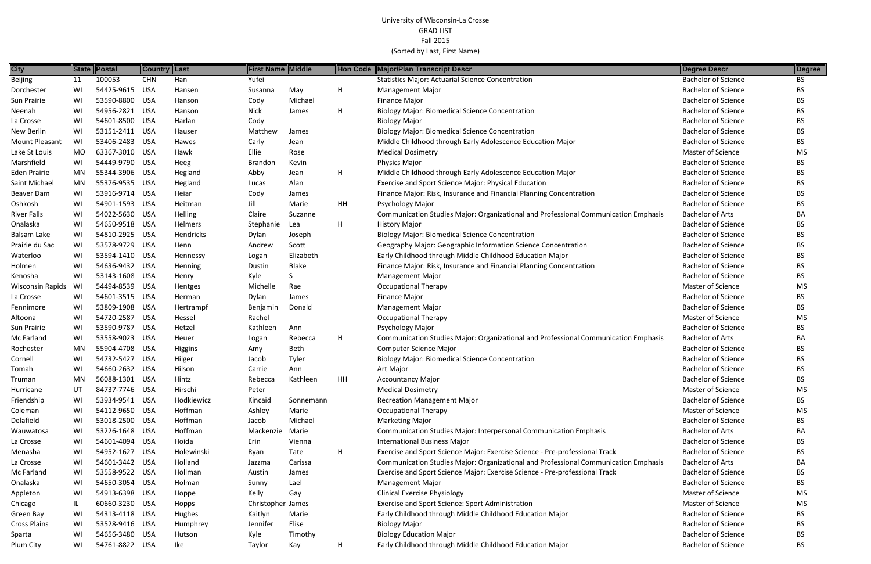| <b>City</b>         | State     | Postal         | <b>Country Last</b> |                | First Name Middle |           |              | Hon Code Major/Plan Transcript Descr                                                | <b>Degree Descr</b>        | Degree    |
|---------------------|-----------|----------------|---------------------|----------------|-------------------|-----------|--------------|-------------------------------------------------------------------------------------|----------------------------|-----------|
| <b>Beijing</b>      | 11        | 100053         | <b>CHN</b>          | Han            | Yufei             |           |              | <b>Statistics Major: Actuarial Science Concentration</b>                            | <b>Bachelor of Science</b> | <b>BS</b> |
| Dorchester          | WI        | 54425-9615 USA |                     | Hansen         | Susanna           | May       | Н            | Management Major                                                                    | <b>Bachelor of Science</b> | <b>BS</b> |
| Sun Prairie         | WI        | 53590-8800     | USA                 | Hanson         | Cody              | Michael   |              | <b>Finance Major</b>                                                                | <b>Bachelor of Science</b> | <b>BS</b> |
| Neenah              | WI        | 54956-2821 USA |                     | Hanson         | <b>Nick</b>       | James     | $\mathsf{H}$ | <b>Biology Major: Biomedical Science Concentration</b>                              | <b>Bachelor of Science</b> | <b>BS</b> |
| La Crosse           | WI        | 54601-8500     | USA                 | Harlan         | Cody              |           |              | <b>Biology Major</b>                                                                | <b>Bachelor of Science</b> | <b>BS</b> |
| New Berlin          | WI        | 53151-2411 USA |                     | Hauser         | Matthew           | James     |              | <b>Biology Major: Biomedical Science Concentration</b>                              | <b>Bachelor of Science</b> | <b>BS</b> |
| Mount Pleasant      | WI        | 53406-2483     | USA                 | Hawes          | Carly             | Jean      |              | Middle Childhood through Early Adolescence Education Major                          | <b>Bachelor of Science</b> | <b>BS</b> |
| Lake St Louis       | MO        | 63367-3010 USA |                     | Hawk           | Ellie             | Rose      |              | <b>Medical Dosimetry</b>                                                            | <b>Master of Science</b>   | <b>MS</b> |
| Marshfield          | WI        | 54449-9790 USA |                     | Heeg           | <b>Brandon</b>    | Kevin     |              | <b>Physics Major</b>                                                                | <b>Bachelor of Science</b> | <b>BS</b> |
| <b>Eden Prairie</b> | MN        | 55344-3906 USA |                     | Hegland        | Abby              | Jean      | H            | Middle Childhood through Early Adolescence Education Major                          | <b>Bachelor of Science</b> | <b>BS</b> |
| Saint Michael       | MN        | 55376-9535 USA |                     | Hegland        | Lucas             | Alan      |              | Exercise and Sport Science Major: Physical Education                                | <b>Bachelor of Science</b> | <b>BS</b> |
| Beaver Dam          | WI        | 53916-9714 USA |                     | Heiar          | Cody              | James     |              | Finance Major: Risk, Insurance and Financial Planning Concentration                 | <b>Bachelor of Science</b> | <b>BS</b> |
| Oshkosh             | WI        | 54901-1593 USA |                     | Heitman        | Jill              | Marie     | HH           | Psychology Major                                                                    | <b>Bachelor of Science</b> | <b>BS</b> |
| <b>River Falls</b>  | WI        | 54022-5630 USA |                     | Helling        | Claire            | Suzanne   |              | Communication Studies Major: Organizational and Professional Communication Emphasis | <b>Bachelor of Arts</b>    | BA        |
| Onalaska            | WI        | 54650-9518 USA |                     | Helmers        | Stephanie         | Lea       | H            | <b>History Major</b>                                                                | <b>Bachelor of Science</b> | BS.       |
| Balsam Lake         | WI        | 54810-2925 USA |                     | Hendricks      | Dylan             | Joseph    |              | <b>Biology Major: Biomedical Science Concentration</b>                              | <b>Bachelor of Science</b> | <b>BS</b> |
| Prairie du Sac      | WI        | 53578-9729     | <b>USA</b>          | Henn           | Andrew            | Scott     |              | Geography Major: Geographic Information Science Concentration                       | <b>Bachelor of Science</b> | <b>BS</b> |
| Waterloo            | WI        | 53594-1410     | USA                 | Hennessy       | Logan             | Elizabeth |              | Early Childhood through Middle Childhood Education Major                            | <b>Bachelor of Science</b> | <b>BS</b> |
| Holmen              | WI        | 54636-9432 USA |                     | Henning        | Dustin            | Blake     |              | Finance Major: Risk, Insurance and Financial Planning Concentration                 | <b>Bachelor of Science</b> | <b>BS</b> |
| Kenosha             | WI        | 53143-1608     | USA                 | Henry          | Kyle              |           |              | <b>Management Major</b>                                                             | <b>Bachelor of Science</b> | BS.       |
| Wisconsin Rapids    | WI        | 54494-8539 USA |                     | Hentges        | Michelle          | Rae       |              | <b>Occupational Therapy</b>                                                         | Master of Science          | <b>MS</b> |
| La Crosse           | WI        | 54601-3515 USA |                     | Herman         | Dylan             | James     |              | Finance Major                                                                       | <b>Bachelor of Science</b> | BS.       |
| Fennimore           | WI        | 53809-1908 USA |                     | Hertrampf      | Benjamin          | Donald    |              | <b>Management Major</b>                                                             | <b>Bachelor of Science</b> | <b>BS</b> |
| Altoona             | WI        | 54720-2587     | <b>USA</b>          | Hessel         | Rachel            |           |              | <b>Occupational Therapy</b>                                                         | Master of Science          | <b>MS</b> |
| Sun Prairie         | WI        | 53590-9787     | USA                 | Hetzel         | Kathleen          | Ann       |              | Psychology Major                                                                    | <b>Bachelor of Science</b> | BS.       |
| Mc Farland          | WI        | 53558-9023     | USA                 | Heuer          | Logan             | Rebecca   | H            | Communication Studies Major: Organizational and Professional Communication Emphasis | <b>Bachelor of Arts</b>    | BA        |
| Rochester           | MN        | 55904-4708     | USA                 | <b>Higgins</b> | Amy               | Beth      |              | <b>Computer Science Major</b>                                                       | <b>Bachelor of Science</b> | BS.       |
| Cornell             | WI        | 54732-5427     | USA                 | Hilger         | Jacob             | Tyler     |              | <b>Biology Major: Biomedical Science Concentration</b>                              | <b>Bachelor of Science</b> | <b>BS</b> |
| Tomah               | WI        | 54660-2632 USA |                     | Hilson         | Carrie            | Ann       |              | Art Major                                                                           | <b>Bachelor of Science</b> | <b>BS</b> |
| Truman              | <b>MN</b> | 56088-1301 USA |                     | Hintz          | Rebecca           | Kathleen  | HH           | <b>Accountancy Major</b>                                                            | <b>Bachelor of Science</b> | <b>BS</b> |
| Hurricane           | UT        | 84737-7746 USA |                     | Hirschi        | Peter             |           |              | <b>Medical Dosimetry</b>                                                            | <b>Master of Science</b>   | <b>MS</b> |
| Friendship          | WI        | 53934-9541 USA |                     | Hodkiewicz     | Kincaid           | Sonnemann |              | <b>Recreation Management Major</b>                                                  | <b>Bachelor of Science</b> | BS.       |
| Coleman             | WI        | 54112-9650 USA |                     | Hoffman        | Ashley            | Marie     |              | <b>Occupational Therapy</b>                                                         | Master of Science          | <b>MS</b> |
| Delafield           | WI        | 53018-2500 USA |                     | Hoffman        | Jacob             | Michael   |              | <b>Marketing Major</b>                                                              | <b>Bachelor of Science</b> | BS.       |
| Wauwatosa           | WI        | 53226-1648 USA |                     | Hoffman        | Mackenzie Marie   |           |              | <b>Communication Studies Major: Interpersonal Communication Emphasis</b>            | <b>Bachelor of Arts</b>    | BA        |
| La Crosse           | WI        | 54601-4094 USA |                     | Hoida          | Erin              | Vienna    |              | International Business Major                                                        | <b>Bachelor of Science</b> | BS.       |
| Menasha             | WI        | 54952-1627 USA |                     | Holewinski     | Ryan              | Tate      | H            | Exercise and Sport Science Major: Exercise Science - Pre-professional Track         | <b>Bachelor of Science</b> | <b>BS</b> |
| La Crosse           | WI        | 54601-3442 USA |                     | Holland        | Jazzma            | Carissa   |              | Communication Studies Major: Organizational and Professional Communication Emphasis | <b>Bachelor of Arts</b>    | BA        |
| Mc Farland          | WI        | 53558-9522 USA |                     | Hollman        | Austin            | James     |              | Exercise and Sport Science Major: Exercise Science - Pre-professional Track         | <b>Bachelor of Science</b> | BS.       |
| Onalaska            | WI        | 54650-3054 USA |                     | Holman         | Sunny             | Lael      |              | <b>Management Major</b>                                                             | <b>Bachelor of Science</b> | <b>BS</b> |
| Appleton            | WI        | 54913-6398 USA |                     | Hoppe          | Kelly             | Gay       |              | <b>Clinical Exercise Physiology</b>                                                 | Master of Science          | <b>MS</b> |
| Chicago             |           | 60660-3230 USA |                     | Hopps          | Christopher James |           |              | Exercise and Sport Science: Sport Administration                                    | <b>Master of Science</b>   | <b>MS</b> |
| Green Bay           | WI        | 54313-4118 USA |                     | Hughes         | Kaitlyn           | Marie     |              | Early Childhood through Middle Childhood Education Major                            | <b>Bachelor of Science</b> | BS.       |
| <b>Cross Plains</b> | WI        | 53528-9416 USA |                     | Humphrey       | Jennifer          | Elise     |              | <b>Biology Major</b>                                                                | <b>Bachelor of Science</b> | <b>BS</b> |
| Sparta              | WI        | 54656-3480 USA |                     | Hutson         | Kyle              | Timothy   |              | <b>Biology Education Major</b>                                                      | <b>Bachelor of Science</b> | <b>BS</b> |
| Plum City           | WI        | 54761-8822 USA |                     | Ike            | Taylor            | Kay       | H            | Early Childhood through Middle Childhood Education Major                            | <b>Bachelor of Science</b> | <b>BS</b> |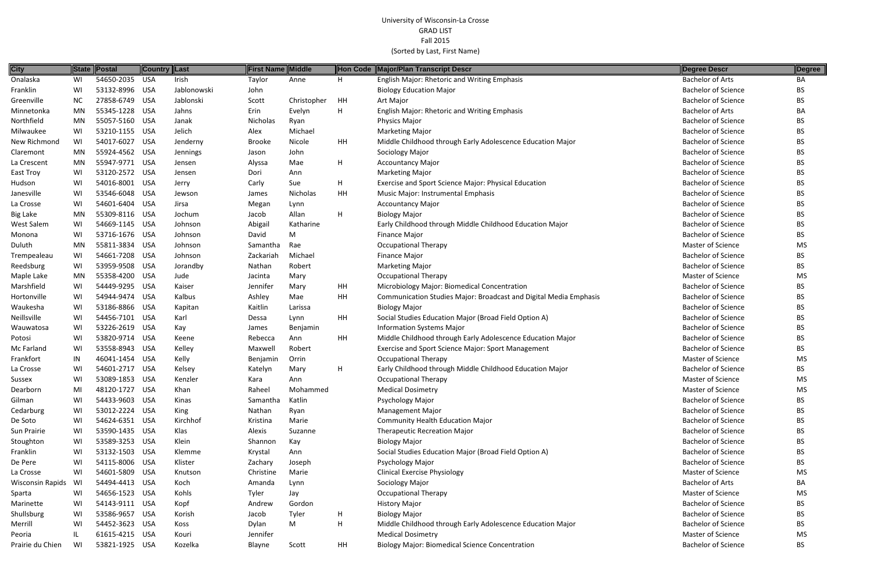| <b>City</b>             |           | State Postal   | <b>Country Last</b> |             | First Name    | Middle      |    | Hon Code Major/Plan Transcript Descr                              | Degree Descr               | Degree    |
|-------------------------|-----------|----------------|---------------------|-------------|---------------|-------------|----|-------------------------------------------------------------------|----------------------------|-----------|
| Onalaska                | WI        | 54650-2035 USA |                     | Irish       | Taylor        | Anne        | H  | English Major: Rhetoric and Writing Emphasis                      | <b>Bachelor of Arts</b>    | BA        |
| Franklin                | WI        | 53132-8996 USA |                     | Jablonowski | John          |             |    | <b>Biology Education Major</b>                                    | <b>Bachelor of Science</b> | BS        |
| Greenville              | NC        | 27858-6749 USA |                     | Jablonski   | Scott         | Christopher | HH | Art Major                                                         | <b>Bachelor of Science</b> | BS.       |
| Minnetonka              | MN        | 55345-1228 USA |                     | Jahns       | Erin          | Evelyn      | H  | <b>English Major: Rhetoric and Writing Emphasis</b>               | <b>Bachelor of Arts</b>    | BA        |
| Northfield              | MN        | 55057-5160 USA |                     | Janak       | Nicholas      | Ryan        |    | <b>Physics Major</b>                                              | <b>Bachelor of Science</b> | BS.       |
| Milwaukee               | WI        | 53210-1155 USA |                     | Jelich      | Alex          | Michael     |    | <b>Marketing Major</b>                                            | <b>Bachelor of Science</b> | BS.       |
| New Richmond            | WI        | 54017-6027 USA |                     | Jenderny    | <b>Brooke</b> | Nicole      | HH | Middle Childhood through Early Adolescence Education Major        | <b>Bachelor of Science</b> | BS.       |
| Claremont               | MN        | 55924-4562 USA |                     | Jennings    | Jason         | John        |    | Sociology Major                                                   | <b>Bachelor of Science</b> | BS        |
| La Crescent             | <b>MN</b> | 55947-9771 USA |                     | Jensen      | Alyssa        | Mae         | H  | <b>Accountancy Major</b>                                          | <b>Bachelor of Science</b> | ВS        |
| East Troy               | WI        | 53120-2572 USA |                     | Jensen      | Dori          | Ann         |    | <b>Marketing Major</b>                                            | <b>Bachelor of Science</b> | BS.       |
| Hudson                  | WI        | 54016-8001 USA |                     | Jerry       | Carly         | Sue         | H  | Exercise and Sport Science Major: Physical Education              | <b>Bachelor of Science</b> | ВS        |
| Janesville              | WI        | 53546-6048 USA |                     | Jewson      | James         | Nicholas    | HH | Music Major: Instrumental Emphasis                                | <b>Bachelor of Science</b> | BS.       |
| La Crosse               | WI        | 54601-6404 USA |                     | Jirsa       | Megan         | Lynn        |    | <b>Accountancy Major</b>                                          | <b>Bachelor of Science</b> | BS.       |
| <b>Big Lake</b>         | MN        | 55309-8116 USA |                     | Jochum      | Jacob         | Allan       | H  | <b>Biology Major</b>                                              | <b>Bachelor of Science</b> | ВS        |
| West Salem              | WI        | 54669-1145 USA |                     | Johnson     | Abigail       | Katharine   |    | Early Childhood through Middle Childhood Education Major          | <b>Bachelor of Science</b> | BS.       |
| Monona                  | WI        | 53716-1676 USA |                     | Johnson     | David         | M           |    | <b>Finance Major</b>                                              | <b>Bachelor of Science</b> | ВS        |
| Duluth                  | MN        | 55811-3834 USA |                     | Johnson     | Samantha      | Rae         |    | <b>Occupational Therapy</b>                                       | <b>Master of Science</b>   | MS        |
| Trempealeau             | WI        | 54661-7208 USA |                     | Johnson     | Zackariah     | Michael     |    | Finance Major                                                     | <b>Bachelor of Science</b> | BS.       |
| Reedsburg               | WI        | 53959-9508 USA |                     | Jorandby    | Nathan        | Robert      |    | <b>Marketing Major</b>                                            | <b>Bachelor of Science</b> | BS.       |
| Maple Lake              | MN        | 55358-4200 USA |                     | Jude        | Jacinta       | Mary        |    | <b>Occupational Therapy</b>                                       | Master of Science          | MS        |
| Marshfield              | WI        | 54449-9295 USA |                     | Kaiser      | Jennifer      | Mary        | HH | Microbiology Major: Biomedical Concentration                      | <b>Bachelor of Science</b> | ВS        |
| Hortonville             | WI        | 54944-9474 USA |                     | Kalbus      | Ashley        | Mae         | HH | Communication Studies Major: Broadcast and Digital Media Emphasis | <b>Bachelor of Science</b> | BS.       |
| Waukesha                | WI        | 53186-8866 USA |                     | Kapitan     | Kaitlin       | Larissa     |    | <b>Biology Major</b>                                              | <b>Bachelor of Science</b> | BS.       |
| Neillsville             | WI        | 54456-7101 USA |                     | Karl        | Dessa         | Lynn        | HH | Social Studies Education Major (Broad Field Option A)             | <b>Bachelor of Science</b> | BS.       |
| Wauwatosa               | WI        | 53226-2619 USA |                     | Kay         | James         | Benjamin    |    | <b>Information Systems Major</b>                                  | <b>Bachelor of Science</b> | BS.       |
| Potosi                  | WI        | 53820-9714 USA |                     | Keene       | Rebecca       | Ann         | HH | Middle Childhood through Early Adolescence Education Major        | <b>Bachelor of Science</b> | ВS        |
| Mc Farland              | WI        | 53558-8943 USA |                     | Kelley      | Maxwell       | Robert      |    | Exercise and Sport Science Major: Sport Management                | <b>Bachelor of Science</b> | ВS        |
| Frankfort               | IN        | 46041-1454 USA |                     | Kelly       | Benjamin      | Orrin       |    | <b>Occupational Therapy</b>                                       | Master of Science          | MS        |
| La Crosse               | WI        | 54601-2717 USA |                     | Kelsey      | Katelyn       | Mary        | H  | Early Childhood through Middle Childhood Education Major          | <b>Bachelor of Science</b> | ВS        |
| Sussex                  | WI        | 53089-1853 USA |                     | Kenzler     | Kara          | Ann         |    | <b>Occupational Therapy</b>                                       | Master of Science          | MS        |
| Dearborn                | MI        | 48120-1727 USA |                     | Khan        | Raheel        | Mohammed    |    | <b>Medical Dosimetry</b>                                          | <b>Master of Science</b>   | MS        |
| Gilman                  | WI        | 54433-9603 USA |                     | Kinas       | Samantha      | Katlin      |    | Psychology Major                                                  | <b>Bachelor of Science</b> | BS        |
| Cedarburg               | WI        | 53012-2224 USA |                     | King        | Nathan        | Ryan        |    | <b>Management Major</b>                                           | <b>Bachelor of Science</b> | ВS        |
| De Soto                 | WI        | 54624-6351 USA |                     | Kirchhof    | Kristina      | Marie       |    | <b>Community Health Education Major</b>                           | <b>Bachelor of Science</b> | ВS        |
| Sun Prairie             | WI        | 53590-1435 USA |                     | Klas        | Alexis        | Suzanne     |    | <b>Therapeutic Recreation Major</b>                               | <b>Bachelor of Science</b> | ВS        |
| Stoughton               | WI        | 53589-3253 USA |                     | Klein       | Shannon       | Kay         |    | <b>Biology Major</b>                                              | <b>Bachelor of Science</b> | BS        |
| Franklin                | WI        | 53132-1503 USA |                     | Klemme      | Krystal       | Ann         |    | Social Studies Education Major (Broad Field Option A)             | <b>Bachelor of Science</b> | ВS        |
| De Pere                 | WI        | 54115-8006 USA |                     | Klister     | Zachary       | Joseph      |    | Psychology Major                                                  | <b>Bachelor of Science</b> | BS.       |
| La Crosse               | WI        | 54601-5809 USA |                     | Knutson     | Christine     | Marie       |    | <b>Clinical Exercise Physiology</b>                               | Master of Science          | MS.       |
| <b>Wisconsin Rapids</b> | WI        | 54494-4413 USA |                     | Koch        | Amanda        | Lynn        |    | Sociology Major                                                   | <b>Bachelor of Arts</b>    | BA        |
| Sparta                  | WI        | 54656-1523 USA |                     | Kohls       | Tyler         | Jay         |    | <b>Occupational Therapy</b>                                       | <b>Master of Science</b>   | MS        |
| Marinette               | WI        | 54143-9111 USA |                     | Kopf        | Andrew        | Gordon      |    | <b>History Major</b>                                              | <b>Bachelor of Science</b> | BS        |
| Shullsburg              | WI        | 53586-9657 USA |                     | Korish      | Jacob         | Tyler       | H  | <b>Biology Major</b>                                              | <b>Bachelor of Science</b> | ВS        |
| Merrill                 | WI        | 54452-3623 USA |                     | Koss        | Dylan         | M           | H  | Middle Childhood through Early Adolescence Education Major        | <b>Bachelor of Science</b> | BS.       |
| Peoria                  |           | 61615-4215 USA |                     | Kouri       | Jennifer      |             |    | <b>Medical Dosimetry</b>                                          | Master of Science          | <b>MS</b> |
| Prairie du Chien        | WI        | 53821-1925 USA |                     | Kozelka     | Blayne        | Scott       | HH | <b>Biology Major: Biomedical Science Concentration</b>            | <b>Bachelor of Science</b> | BS        |

| Degree Descr               | Degree    |
|----------------------------|-----------|
| <b>Bachelor of Arts</b>    | BА        |
| <b>Bachelor of Science</b> | <b>BS</b> |
| <b>Bachelor of Science</b> | <b>BS</b> |
| <b>Bachelor of Arts</b>    | BА        |
| <b>Bachelor of Science</b> | <b>BS</b> |
| <b>Bachelor of Science</b> | BS        |
| <b>Bachelor of Science</b> | <b>BS</b> |
| <b>Bachelor of Science</b> | BS.       |
| <b>Bachelor of Science</b> | <b>BS</b> |
| <b>Bachelor of Science</b> | BS        |
| <b>Bachelor of Science</b> | BS        |
| <b>Bachelor of Science</b> | <b>BS</b> |
| <b>Bachelor of Science</b> | BS        |
| <b>Bachelor of Science</b> | <b>BS</b> |
| <b>Bachelor of Science</b> | <b>BS</b> |
| <b>Bachelor of Science</b> | <b>BS</b> |
| <b>Master of Science</b>   | ΜS        |
| <b>Bachelor of Science</b> | BS        |
| <b>Bachelor of Science</b> | BS        |
| <b>Master of Science</b>   | <b>MS</b> |
| <b>Bachelor of Science</b> | <b>BS</b> |
| <b>Bachelor of Science</b> | BS        |
| <b>Bachelor of Science</b> | BS        |
| <b>Bachelor of Science</b> | <b>BS</b> |
| <b>Bachelor of Science</b> | BS        |
| <b>Bachelor of Science</b> | BS        |
| <b>Bachelor of Science</b> | BS        |
| <b>Master of Science</b>   | <b>MS</b> |
| <b>Bachelor of Science</b> | BS        |
| Master of Science          | MS        |
| <b>Master of Science</b>   | MS        |
| <b>Bachelor of Science</b> | BS        |
| <b>Bachelor of Science</b> | <b>BS</b> |
| <b>Bachelor of Science</b> | BS        |
| Bachelor of Science        | BS        |
| <b>Bachelor of Science</b> | BS        |
| <b>Bachelor of Science</b> | BS        |
| <b>Bachelor of Science</b> | BS        |
| <b>Master of Science</b>   | MS        |
| <b>Bachelor of Arts</b>    | BA        |
| <b>Master of Science</b>   | MS        |
| <b>Bachelor of Science</b> | <b>BS</b> |
| <b>Bachelor of Science</b> | <b>BS</b> |
| <b>Bachelor of Science</b> | BS        |
| <b>Master of Science</b>   | MS        |
| Bachelor of Science        | R٢        |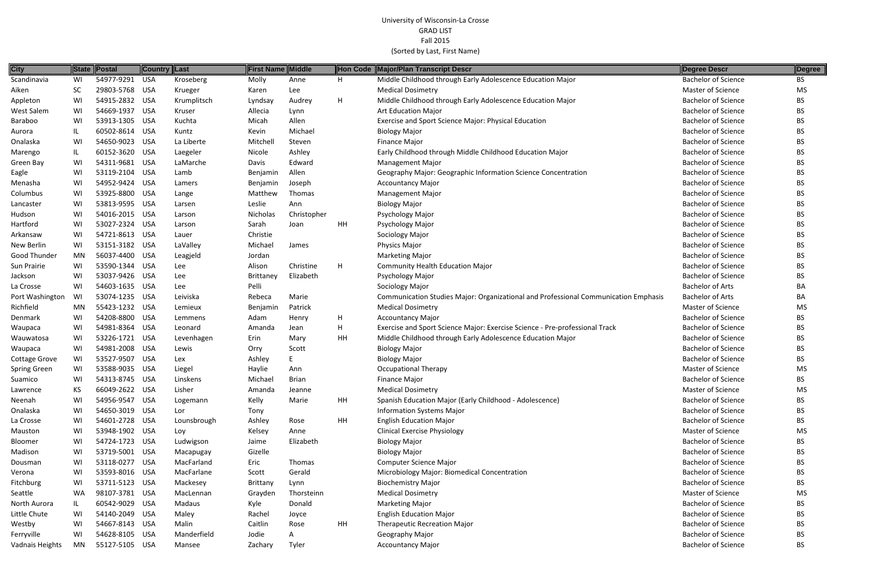| <b>City</b>          |           | State Postal                     | <b>Country Last</b> |                | <b>First Name Middle</b> |             |    | Hon Code Major/Plan Transcript Descr                                                | Degree Descr                                             | Degree    |
|----------------------|-----------|----------------------------------|---------------------|----------------|--------------------------|-------------|----|-------------------------------------------------------------------------------------|----------------------------------------------------------|-----------|
| Scandinavia          | WI        | 54977-9291                       | USA                 | Kroseberg      | Molly                    | Anne        | H. | Middle Childhood through Early Adolescence Education Major                          | <b>Bachelor of Science</b>                               | BS        |
| Aiken                | <b>SC</b> | 29803-5768                       | USA                 | Krueger        | Karen                    | Lee         |    | <b>Medical Dosimetry</b>                                                            | Master of Science                                        | MS        |
| Appleton             | WI        | 54915-2832 USA                   |                     | Krumplitsch    | Lyndsay                  | Audrey      | H  | Middle Childhood through Early Adolescence Education Major                          | <b>Bachelor of Science</b>                               | BS.       |
| West Salem           | WI        | 54669-1937                       | USA                 | Kruser         | Allecia                  | Lynn        |    | <b>Art Education Major</b>                                                          | <b>Bachelor of Science</b>                               | BS.       |
| Baraboo              | WI        | 53913-1305 USA                   |                     | Kuchta         | Micah                    | Allen       |    | Exercise and Sport Science Major: Physical Education                                | <b>Bachelor of Science</b>                               | BS        |
| Aurora               |           | 60502-8614 USA                   |                     | Kuntz          | Kevin                    | Michael     |    | <b>Biology Major</b>                                                                | <b>Bachelor of Science</b>                               | BS        |
| Onalaska             | WI        | 54650-9023                       | USA                 | La Liberte     | Mitchell                 | Steven      |    | Finance Major                                                                       | <b>Bachelor of Science</b>                               | BS        |
| Marengo              | IL        | 60152-3620 USA                   |                     | Laegeler       | Nicole                   | Ashley      |    | Early Childhood through Middle Childhood Education Major                            | <b>Bachelor of Science</b>                               | BS        |
| Green Bay            | WI        | 54311-9681                       | USA                 | LaMarche       | Davis                    | Edward      |    | <b>Management Major</b>                                                             | <b>Bachelor of Science</b>                               | BS        |
| Eagle                | WI        | 53119-2104                       | USA                 | Lamb           | Benjamin                 | Allen       |    | Geography Major: Geographic Information Science Concentration                       | <b>Bachelor of Science</b>                               | BS        |
| Menasha              | WI        | 54952-9424 USA                   |                     | Lamers         | Benjamin                 | Joseph      |    | <b>Accountancy Major</b>                                                            | <b>Bachelor of Science</b>                               | BS.       |
| Columbus             | WI        | 53925-8800 USA                   |                     | Lange          | Matthew                  | Thomas      |    | <b>Management Major</b>                                                             | <b>Bachelor of Science</b>                               | BS        |
| Lancaster            | WI        | 53813-9595 USA                   |                     | Larsen         | Leslie                   | Ann         |    | <b>Biology Major</b>                                                                | <b>Bachelor of Science</b>                               | BS.       |
| Hudson               | WI        | 54016-2015 USA                   |                     | Larson         | Nicholas                 | Christopher |    | Psychology Major                                                                    | <b>Bachelor of Science</b>                               | BS        |
| Hartford             | WI        | 53027-2324 USA                   |                     | Larson         | Sarah                    | Joan        | HH | Psychology Major                                                                    | <b>Bachelor of Science</b>                               | BS        |
| Arkansaw             | WI        | 54721-8613                       | USA                 | Lauer          | Christie                 |             |    | Sociology Major                                                                     | <b>Bachelor of Science</b>                               | BS.       |
| New Berlin           | WI        | 53151-3182 USA                   |                     | LaValley       | Michael                  | James       |    | Physics Major                                                                       | <b>Bachelor of Science</b>                               | BS        |
| <b>Good Thunder</b>  | MN        | 56037-4400 USA                   |                     | Leagjeld       | Jordan                   |             |    | <b>Marketing Major</b>                                                              | <b>Bachelor of Science</b>                               | BS.       |
| Sun Prairie          | WI        | 53590-1344 USA                   |                     | Lee            | Alison                   | Christine   | н  | <b>Community Health Education Major</b>                                             | <b>Bachelor of Science</b>                               | BS        |
| Jackson              |           | 53037-9426 USA                   |                     | Lee            | <b>Brittaney</b>         | Elizabeth   |    | Psychology Major                                                                    | <b>Bachelor of Science</b>                               | BS.       |
| La Crosse            | WI        | 54603-1635 USA                   |                     | Lee            | Pelli                    |             |    | Sociology Major                                                                     | <b>Bachelor of Arts</b>                                  | BA        |
| Port Washington      | WI        | 53074-1235 USA                   |                     | Leiviska       | Rebeca                   | Marie       |    | Communication Studies Major: Organizational and Professional Communication Emphasis | <b>Bachelor of Arts</b>                                  | BA        |
| Richfield            | MN        | 55423-1232 USA                   |                     | Lemieux        | Benjamin                 | Patrick     |    | <b>Medical Dosimetry</b>                                                            | <b>Master of Science</b>                                 | MS        |
| Denmark              | WI        | 54208-8800 USA                   |                     | Lemmens        | Adam                     | Henry       | H  | <b>Accountancy Major</b>                                                            | <b>Bachelor of Science</b>                               | BS        |
| Waupaca              | WI        | 54981-8364 USA                   |                     | Leonard        | Amanda                   | Jean        | Н  | Exercise and Sport Science Major: Exercise Science - Pre-professional Track         | <b>Bachelor of Science</b>                               | BS.       |
| Wauwatosa            | WI        | 53226-1721                       | USA                 | Levenhagen     | Erin                     | Mary        | HH | Middle Childhood through Early Adolescence Education Major                          | <b>Bachelor of Science</b>                               | BS        |
| Waupaca              | WI        | 54981-2008 USA                   |                     | Lewis          | Orry                     | Scott       |    | <b>Biology Major</b>                                                                | <b>Bachelor of Science</b>                               | BS.       |
| <b>Cottage Grove</b> | WI        | 53527-9507                       | USA                 | Lex            | Ashley                   |             |    | <b>Biology Major</b>                                                                | <b>Bachelor of Science</b>                               | ВS        |
| <b>Spring Green</b>  | WI        | 53588-9035 USA                   |                     | Liegel         | Haylie                   | Ann         |    | <b>Occupational Therapy</b>                                                         | Master of Science                                        | <b>MS</b> |
| Suamico              | WI        | 54313-8745 USA                   |                     | Linskens       | Michael                  | Brian       |    | Finance Major                                                                       | <b>Bachelor of Science</b>                               | BS.       |
| Lawrence             |           | 66049-2622 USA                   |                     | Lisher         | Amanda                   | Jeanne      |    | <b>Medical Dosimetry</b>                                                            | <b>Master of Science</b>                                 | MS        |
| Neenah               | WI        | 54956-9547 USA                   |                     | Logemann       | Kelly                    | Marie       | HH | Spanish Education Major (Early Childhood - Adolescence)                             | <b>Bachelor of Science</b>                               | BS.       |
| Onalaska             | WI        | 54650-3019 USA                   |                     | Lor            | Tony                     |             |    | <b>Information Systems Major</b>                                                    | <b>Bachelor of Science</b>                               | BS        |
| La Crosse            | WI        | 54601-2728 USA                   |                     | Lounsbrough    | Ashley                   | Rose        | HH | <b>English Education Major</b>                                                      | <b>Bachelor of Science</b>                               | ВS        |
| Mauston              | WI        | 53948-1902 USA                   |                     | Loy            | Kelsey                   | Anne        |    | <b>Clinical Exercise Physiology</b>                                                 | Master of Science                                        | <b>MS</b> |
| Bloomer              | WI        | 54724-1723 USA                   |                     | Ludwigson      | Jaime                    | Elizabeth   |    | <b>Biology Major</b>                                                                | <b>Bachelor of Science</b>                               | BS        |
| Madison              |           | 53719-5001 USA                   |                     | Macapugay      | Gizelle                  |             |    | <b>Biology Major</b>                                                                | <b>Bachelor of Science</b>                               | BS.       |
| Dousman              | WI        | 53118-0277 USA                   |                     | MacFarland     | Eric                     | Thomas      |    | <b>Computer Science Major</b>                                                       | <b>Bachelor of Science</b>                               | BS        |
| Verona               |           | 53593-8016 USA                   |                     | MacFarlane     | Scott                    | Gerald      |    | Microbiology Major: Biomedical Concentration                                        | <b>Bachelor of Science</b>                               | BS.       |
| Fitchburg            | WI        | 53711-5123 USA                   |                     | Mackesey       | Brittany                 | Lynn        |    | <b>Biochemistry Major</b>                                                           | <b>Bachelor of Science</b>                               | BS        |
| Seattle              | WA        | 98107-3781 USA                   |                     | MacLennan      | Grayden                  | Thorsteinn  |    | <b>Medical Dosimetry</b>                                                            | <b>Master of Science</b>                                 | MS        |
| North Aurora         | IL.       | 60542-9029 USA                   |                     | Madaus         | Kyle                     | Donald      |    | <b>Marketing Major</b>                                                              | <b>Bachelor of Science</b>                               | BS        |
| Little Chute         | WI        | 54140-2049 USA<br>54667-8143 USA |                     | Maley<br>Malin | Rachel<br>Caitlin        | Joyce       | HH | <b>English Education Major</b>                                                      | <b>Bachelor of Science</b><br><b>Bachelor of Science</b> | BS        |
| Westby               |           | 54628-8105 USA                   |                     | Manderfield    | Jodie                    | Rose        |    | <b>Therapeutic Recreation Major</b>                                                 | <b>Bachelor of Science</b>                               | BS        |
| Ferryville           | WI<br>MN  | 55127-5105 USA                   |                     | Mansee         |                          | A           |    | Geography Major                                                                     | <b>Bachelor of Science</b>                               | ВS        |
| Vadnais Heights      |           |                                  |                     |                | Zachary                  | Tyler       |    | <b>Accountancy Major</b>                                                            |                                                          | <b>BS</b> |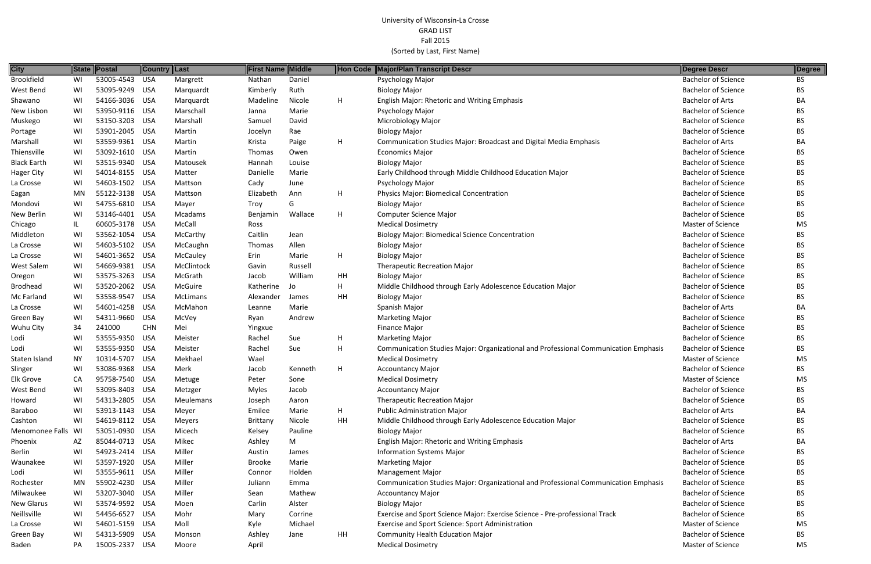| <b>City</b>        | State | Postal         | Country Last |                | First Name Middle |         |    | Hon Code Major/Plan Transcript Descr                                                | <b>Degree Descr</b>        | Degree    |
|--------------------|-------|----------------|--------------|----------------|-------------------|---------|----|-------------------------------------------------------------------------------------|----------------------------|-----------|
| <b>Brookfield</b>  | WI    | 53005-4543     | USA          | Margrett       | Nathan            | Daniel  |    | Psychology Major                                                                    | <b>Bachelor of Science</b> | <b>BS</b> |
| West Bend          | WI    | 53095-9249 USA |              | Marquardt      | Kimberly          | Ruth    |    | <b>Biology Major</b>                                                                | <b>Bachelor of Science</b> | <b>BS</b> |
| Shawano            | WI    | 54166-3036 USA |              | Marquardt      | Madeline          | Nicole  | H  | <b>English Major: Rhetoric and Writing Emphasis</b>                                 | <b>Bachelor of Arts</b>    | BA        |
| New Lisbon         | WI    | 53950-9116 USA |              | Marschall      | Janna             | Marie   |    | Psychology Major                                                                    | <b>Bachelor of Science</b> | <b>BS</b> |
| Muskego            | WI    | 53150-3203 USA |              | Marshall       | Samuel            | David   |    | Microbiology Major                                                                  | <b>Bachelor of Science</b> | BS        |
| Portage            | WI    | 53901-2045 USA |              | Martin         | Jocelyn           | Rae     |    | <b>Biology Major</b>                                                                | <b>Bachelor of Science</b> | <b>BS</b> |
| Marshall           | WI    | 53559-9361 USA |              | Martin         | Krista            | Paige   | H  | <b>Communication Studies Major: Broadcast and Digital Media Emphasis</b>            | <b>Bachelor of Arts</b>    | BA        |
| Thiensville        | WI    | 53092-1610 USA |              | Martin         | <b>Thomas</b>     | Owen    |    | <b>Economics Major</b>                                                              | <b>Bachelor of Science</b> | BS.       |
| <b>Black Earth</b> | WI    | 53515-9340 USA |              | Matousek       | Hannah            | Louise  |    | <b>Biology Major</b>                                                                | <b>Bachelor of Science</b> | <b>BS</b> |
| <b>Hager City</b>  | WI    | 54014-8155 USA |              | Matter         | Danielle          | Marie   |    | Early Childhood through Middle Childhood Education Major                            | <b>Bachelor of Science</b> | <b>BS</b> |
| La Crosse          | WI    | 54603-1502 USA |              | Mattson        | Cady              | June    |    | Psychology Major                                                                    | <b>Bachelor of Science</b> | BS        |
| Eagan              | MN    | 55122-3138 USA |              | Mattson        | Elizabeth         | Ann     | H  | Physics Major: Biomedical Concentration                                             | <b>Bachelor of Science</b> | <b>BS</b> |
| Mondovi            | WI    | 54755-6810     | USA          | Mayer          | Troy              | G       |    | <b>Biology Major</b>                                                                | <b>Bachelor of Science</b> | <b>BS</b> |
| New Berlin         | WI    | 53146-4401 USA |              | Mcadams        | Benjamin          | Wallace | H  | <b>Computer Science Major</b>                                                       | <b>Bachelor of Science</b> | <b>BS</b> |
| Chicago            | IL.   | 60605-3178 USA |              | McCall         | Ross              |         |    | <b>Medical Dosimetry</b>                                                            | <b>Master of Science</b>   | MS        |
| Middleton          | WI    | 53562-1054 USA |              | McCarthy       | Caitlin           | Jean    |    | <b>Biology Major: Biomedical Science Concentration</b>                              | <b>Bachelor of Science</b> | BS        |
| La Crosse          | WI    | 54603-5102 USA |              | McCaughn       | Thomas            | Allen   |    | <b>Biology Major</b>                                                                | <b>Bachelor of Science</b> | BS        |
| La Crosse          | WI    | 54601-3652 USA |              | McCauley       | Erin              | Marie   | H  | <b>Biology Major</b>                                                                | <b>Bachelor of Science</b> | BS        |
| West Salem         | WI    | 54669-9381 USA |              | McClintock     | Gavin             | Russell |    | <b>Therapeutic Recreation Major</b>                                                 | <b>Bachelor of Science</b> | <b>BS</b> |
| Oregon             | WI    | 53575-3263     | <b>USA</b>   | McGrath        | Jacob             | William | HH | <b>Biology Major</b>                                                                | <b>Bachelor of Science</b> | <b>BS</b> |
| <b>Brodhead</b>    | WI    | 53520-2062 USA |              | <b>McGuire</b> | Katherine         | Jo      | H  | Middle Childhood through Early Adolescence Education Major                          | <b>Bachelor of Science</b> | <b>BS</b> |
| Mc Farland         | WI    | 53558-9547 USA |              | McLimans       | Alexander         | James   | HH | <b>Biology Major</b>                                                                | <b>Bachelor of Science</b> | <b>BS</b> |
| La Crosse          | WI    | 54601-4258     | USA          | McMahon        | Leanne            | Marie   |    | Spanish Major                                                                       | <b>Bachelor of Arts</b>    | BA        |
| Green Bay          | WI    | 54311-9660     | <b>USA</b>   | McVey          | Ryan              | Andrew  |    | <b>Marketing Major</b>                                                              | <b>Bachelor of Science</b> | <b>BS</b> |
| Wuhu City          | 34    | 241000         | <b>CHN</b>   | Mei            | Yingxue           |         |    | Finance Major                                                                       | <b>Bachelor of Science</b> | <b>BS</b> |
| Lodi               | WI    | 53555-9350     | USA          | Meister        | Rachel            | Sue     | H  | <b>Marketing Major</b>                                                              | <b>Bachelor of Science</b> | <b>BS</b> |
| Lodi               | WI    | 53555-9350 USA |              | Meister        | Rachel            | Sue     | H  | Communication Studies Major: Organizational and Professional Communication Emphasis | <b>Bachelor of Science</b> | <b>BS</b> |
| Staten Island      | NY.   | 10314-5707 USA |              | Mekhael        | Wael              |         |    | <b>Medical Dosimetry</b>                                                            | <b>Master of Science</b>   | MS        |
| Slinger            | WI    | 53086-9368 USA |              | Merk           | Jacob             | Kenneth | H  | <b>Accountancy Major</b>                                                            | <b>Bachelor of Science</b> | BS        |
| <b>Elk Grove</b>   | CA    | 95758-7540 USA |              | Metuge         | Peter             | Sone    |    | <b>Medical Dosimetry</b>                                                            | Master of Science          | MS        |
| West Bend          | WI    | 53095-8403 USA |              | Metzger        | <b>Myles</b>      | Jacob   |    | <b>Accountancy Major</b>                                                            | <b>Bachelor of Science</b> | BS        |
| Howard             | WI    | 54313-2805 USA |              | Meulemans      | Joseph            | Aaron   |    | <b>Therapeutic Recreation Major</b>                                                 | <b>Bachelor of Science</b> | <b>BS</b> |
| Baraboo            | WI    | 53913-1143 USA |              | Meyer          | Emilee            | Marie   | H  | <b>Public Administration Major</b>                                                  | <b>Bachelor of Arts</b>    | BA        |
| Cashton            | WI    | 54619-8112 USA |              | <b>Meyers</b>  | Brittany          | Nicole  | HH | Middle Childhood through Early Adolescence Education Major                          | <b>Bachelor of Science</b> | <b>BS</b> |
| Menomonee Falls WI |       | 53051-0930 USA |              | Micech         | Kelsey            | Pauline |    | <b>Biology Major</b>                                                                | <b>Bachelor of Science</b> | BS        |
| Phoenix            | AZ    | 85044-0713 USA |              | Mikec          | Ashley            | M       |    | English Major: Rhetoric and Writing Emphasis                                        | <b>Bachelor of Arts</b>    | BA        |
| Berlin             | WI    | 54923-2414 USA |              | Miller         | Austin            | James   |    | <b>Information Systems Major</b>                                                    | <b>Bachelor of Science</b> | BS        |
| Waunakee           | WI    | 53597-1920 USA |              | Miller         | <b>Brooke</b>     | Marie   |    | <b>Marketing Major</b>                                                              | <b>Bachelor of Science</b> | <b>BS</b> |
| Lodi               | WI    | 53555-9611 USA |              | Miller         | Connor            | Holden  |    | <b>Management Major</b>                                                             | <b>Bachelor of Science</b> | BS        |
| Rochester          | MN    | 55902-4230 USA |              | Miller         | Juliann           | Emma    |    | Communication Studies Major: Organizational and Professional Communication Emphasis | <b>Bachelor of Science</b> | BS        |
| Milwaukee          | WI    | 53207-3040 USA |              | Miller         | Sean              | Mathew  |    | <b>Accountancy Major</b>                                                            | <b>Bachelor of Science</b> | BS        |
| <b>New Glarus</b>  | WI    | 53574-9592 USA |              | Moen           | Carlin            | Alster  |    | <b>Biology Major</b>                                                                | <b>Bachelor of Science</b> | <b>BS</b> |
| Neillsville        | WI.   | 54456-6527 USA |              | Mohr           | Mary              | Corrine |    | Exercise and Sport Science Major: Exercise Science - Pre-professional Track         | <b>Bachelor of Science</b> | <b>BS</b> |
| La Crosse          | WI    | 54601-5159 USA |              | Moll           | Kyle              | Michael |    | Exercise and Sport Science: Sport Administration                                    | Master of Science          | MS        |
| Green Bay          | WI    | 54313-5909 USA |              | Monson         | Ashley            | Jane    | HH | <b>Community Health Education Major</b>                                             | <b>Bachelor of Science</b> | BS        |
| Baden              | PA    | 15005-2337 USA |              | Moore          | April             |         |    | <b>Medical Dosimetry</b>                                                            | Master of Science          | MS        |
|                    |       |                |              |                |                   |         |    |                                                                                     |                            |           |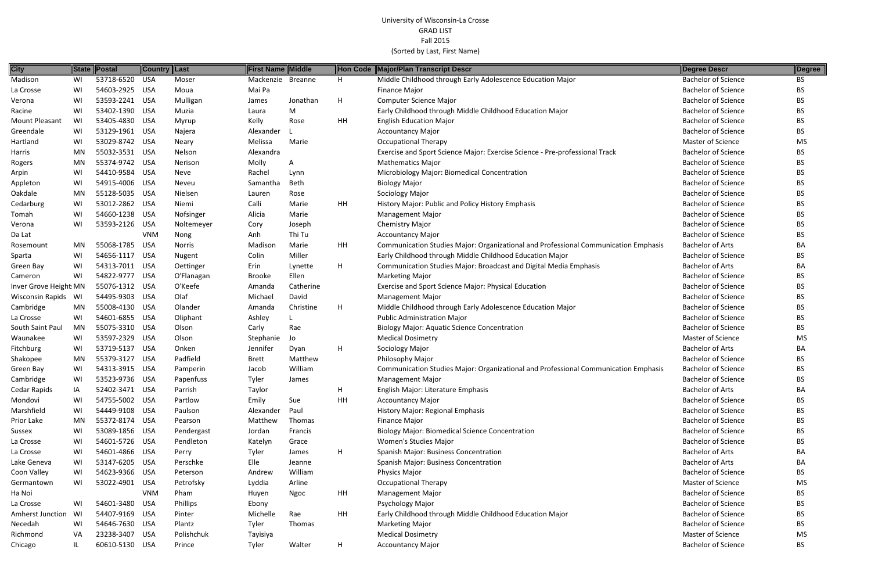| <b>City</b>            |           | State Postal   | <b>Country Last</b> |               | <b>First Name Middle</b> |                |    | Hon Code Major/Plan Transcript Descr                                                | Degree Descr               | Degree    |
|------------------------|-----------|----------------|---------------------|---------------|--------------------------|----------------|----|-------------------------------------------------------------------------------------|----------------------------|-----------|
| Madison                | WI        | 53718-6520     | <b>USA</b>          | Moser         | Mackenzie                | <b>Breanne</b> | H  | Middle Childhood through Early Adolescence Education Major                          | <b>Bachelor of Science</b> | BS.       |
| La Crosse              | WI        | 54603-2925 USA |                     | Moua          | Mai Pa                   |                |    | <b>Finance Major</b>                                                                | <b>Bachelor of Science</b> | BS.       |
| Verona                 | WI        | 53593-2241     | USA                 | Mulligan      | James                    | Jonathan       | H  | <b>Computer Science Major</b>                                                       | <b>Bachelor of Science</b> | <b>BS</b> |
| Racine                 | WI        | 53402-1390     | USA                 | Muzia         | Laura                    | M              |    | Early Childhood through Middle Childhood Education Major                            | <b>Bachelor of Science</b> | <b>BS</b> |
| Mount Pleasant         | WI        | 53405-4830 USA |                     | Myrup         | Kelly                    | Rose           | HH | <b>English Education Major</b>                                                      | <b>Bachelor of Science</b> | <b>BS</b> |
| Greendale              | WI        | 53129-1961 USA |                     | Najera        | Alexander                |                |    | <b>Accountancy Major</b>                                                            | <b>Bachelor of Science</b> | BS.       |
| Hartland               | WI        | 53029-8742 USA |                     | Neary         | Melissa                  | Marie          |    | <b>Occupational Therapy</b>                                                         | <b>Master of Science</b>   | <b>MS</b> |
| Harris                 | MN        | 55032-3531 USA |                     | Nelson        | Alexandra                |                |    | Exercise and Sport Science Major: Exercise Science - Pre-professional Track         | <b>Bachelor of Science</b> | BS.       |
| Rogers                 | MN        | 55374-9742 USA |                     | Nerison       | Molly                    | A              |    | <b>Mathematics Major</b>                                                            | <b>Bachelor of Science</b> | <b>BS</b> |
| Arpin                  | WI        | 54410-9584 USA |                     | Neve          | Rachel                   | Lynn           |    | Microbiology Major: Biomedical Concentration                                        | <b>Bachelor of Science</b> | BS.       |
| Appleton               | WI        | 54915-4006 USA |                     | Neveu         | Samantha                 | Beth           |    | <b>Biology Major</b>                                                                | <b>Bachelor of Science</b> | <b>BS</b> |
| Oakdale                | <b>MN</b> | 55128-5035 USA |                     | Nielsen       | Lauren                   | Rose           |    | Sociology Major                                                                     | <b>Bachelor of Science</b> | BS.       |
| Cedarburg              | WI        | 53012-2862 USA |                     | Niemi         | Calli                    | Marie          | HH | History Major: Public and Policy History Emphasis                                   | <b>Bachelor of Science</b> | <b>BS</b> |
| Tomah                  | WI        | 54660-1238 USA |                     | Nofsinger     | Alicia                   | Marie          |    | <b>Management Major</b>                                                             | <b>Bachelor of Science</b> | <b>BS</b> |
| Verona                 | WI        | 53593-2126 USA |                     | Noltemeyer    | Cory                     | Joseph         |    | <b>Chemistry Major</b>                                                              | <b>Bachelor of Science</b> | <b>BS</b> |
| Da Lat                 |           |                | <b>VNM</b>          | Nong          | Anh                      | Thi Tu         |    | <b>Accountancy Major</b>                                                            | <b>Bachelor of Science</b> | <b>BS</b> |
| Rosemount              | MN.       | 55068-1785 USA |                     | <b>Norris</b> | Madison                  | Marie          | HH | Communication Studies Major: Organizational and Professional Communication Emphasis | <b>Bachelor of Arts</b>    | BA        |
| Sparta                 | WI        | 54656-1117     | USA                 | Nugent        | Colin                    | Miller         |    | Early Childhood through Middle Childhood Education Major                            | <b>Bachelor of Science</b> | <b>BS</b> |
| Green Bay              | WI        | 54313-7011 USA |                     | Oettinger     | Erin                     | Lynette        | H  | Communication Studies Major: Broadcast and Digital Media Emphasis                   | <b>Bachelor of Arts</b>    | BA        |
| Cameron                | WI        | 54822-9777 USA |                     | O'Flanagan    | <b>Brooke</b>            | Ellen          |    | <b>Marketing Major</b>                                                              | <b>Bachelor of Science</b> | <b>BS</b> |
| Inver Grove Height: MN |           | 55076-1312 USA |                     | O'Keefe       | Amanda                   | Catherine      |    | Exercise and Sport Science Major: Physical Education                                | <b>Bachelor of Science</b> | <b>BS</b> |
| Wisconsin Rapids WI    |           | 54495-9303 USA |                     | Olaf          | Michael                  | David          |    | <b>Management Major</b>                                                             | <b>Bachelor of Science</b> | <b>BS</b> |
| Cambridge              | MN        | 55008-4130 USA |                     | Olander       | Amanda                   | Christine      | H  | Middle Childhood through Early Adolescence Education Major                          | <b>Bachelor of Science</b> | <b>BS</b> |
| La Crosse              | WI        | 54601-6855 USA |                     | Oliphant      | Ashley                   |                |    | Public Administration Major                                                         | <b>Bachelor of Science</b> | BS.       |
| South Saint Paul       | MN        | 55075-3310 USA |                     | Olson         | Carly                    | Rae            |    | <b>Biology Major: Aquatic Science Concentration</b>                                 | <b>Bachelor of Science</b> | BS.       |
| Waunakee               | WI        | 53597-2329 USA |                     | Olson         | Stephanie                | Jo             |    | <b>Medical Dosimetry</b>                                                            | <b>Master of Science</b>   | <b>MS</b> |
| Fitchburg              | WI        | 53719-5137 USA |                     | Onken         | Jennifer                 | Dyan           | Н  | Sociology Major                                                                     | <b>Bachelor of Arts</b>    | BA        |
| Shakopee               | MN        | 55379-3127     | USA                 | Padfield      | <b>Brett</b>             | Matthew        |    | Philosophy Major                                                                    | <b>Bachelor of Science</b> | <b>BS</b> |
| Green Bay              | WI        | 54313-3915 USA |                     | Pamperin      | Jacob                    | William        |    | Communication Studies Major: Organizational and Professional Communication Emphasis | <b>Bachelor of Science</b> | <b>BS</b> |
| Cambridge              | WI        | 53523-9736 USA |                     | Papenfuss     | Tyler                    | James          |    | Management Major                                                                    | <b>Bachelor of Science</b> | <b>BS</b> |
| Cedar Rapids           | IA        | 52402-3471 USA |                     | Parrish       | Taylor                   |                | H  | English Major: Literature Emphasis                                                  | <b>Bachelor of Arts</b>    | BA        |
| Mondovi                | WI        | 54755-5002 USA |                     | Partlow       | Emily                    | Sue            | HH | <b>Accountancy Major</b>                                                            | <b>Bachelor of Science</b> | <b>BS</b> |
| Marshfield             | WI        | 54449-9108 USA |                     | Paulson       | Alexander                | Paul           |    | History Major: Regional Emphasis                                                    | <b>Bachelor of Science</b> | <b>BS</b> |
| Prior Lake             | MN.       | 55372-8174 USA |                     | Pearson       | Matthew                  | Thomas         |    | Finance Major                                                                       | <b>Bachelor of Science</b> | <b>BS</b> |
| Sussex                 | WI        | 53089-1856 USA |                     | Pendergast    | Jordan                   | Francis        |    | <b>Biology Major: Biomedical Science Concentration</b>                              | <b>Bachelor of Science</b> | <b>BS</b> |
| La Crosse              | WI        | 54601-5726 USA |                     | Pendleton     | Katelyn                  | Grace          |    | Women's Studies Major                                                               | <b>Bachelor of Science</b> | <b>BS</b> |
| La Crosse              | WI        | 54601-4866 USA |                     | Perry         | Tyler                    | James          | H  | Spanish Major: Business Concentration                                               | <b>Bachelor of Arts</b>    | BA        |
| Lake Geneva            | WI        | 53147-6205 USA |                     | Perschke      | Elle                     | Jeanne         |    | Spanish Major: Business Concentration                                               | <b>Bachelor of Arts</b>    | BA        |
| Coon Valley            | WI        | 54623-9366 USA |                     | Peterson      | Andrew                   | William        |    | Physics Major                                                                       | <b>Bachelor of Science</b> | BS.       |
| Germantown             | WI        | 53022-4901 USA |                     | Petrofsky     | Lyddia                   | Arline         |    | <b>Occupational Therapy</b>                                                         | <b>Master of Science</b>   | MS        |
| Ha Noi                 |           |                | <b>VNM</b>          | Pham          | Huyen                    | Ngoc           | HH | <b>Management Major</b>                                                             | <b>Bachelor of Science</b> | <b>BS</b> |
| La Crosse              | WI        | 54601-3480 USA |                     | Phillips      | Ebony                    |                |    | Psychology Major                                                                    | <b>Bachelor of Science</b> | <b>BS</b> |
| Amherst Junction       | WI        | 54407-9169 USA |                     | Pinter        | Michelle                 | Rae            | HH | Early Childhood through Middle Childhood Education Major                            | <b>Bachelor of Science</b> | <b>BS</b> |
| Necedah                | WI        | 54646-7630 USA |                     | Plantz        | Tyler                    | Thomas         |    | <b>Marketing Major</b>                                                              | <b>Bachelor of Science</b> | BS.       |
| Richmond               | VA        | 23238-3407 USA |                     | Polishchuk    | Tayisiya                 |                |    | <b>Medical Dosimetry</b>                                                            | Master of Science          | MS        |
| Chicago                |           | 60610-5130 USA |                     | Prince        | Tyler                    | Walter         | H  | <b>Accountancy Major</b>                                                            | <b>Bachelor of Science</b> | <b>BS</b> |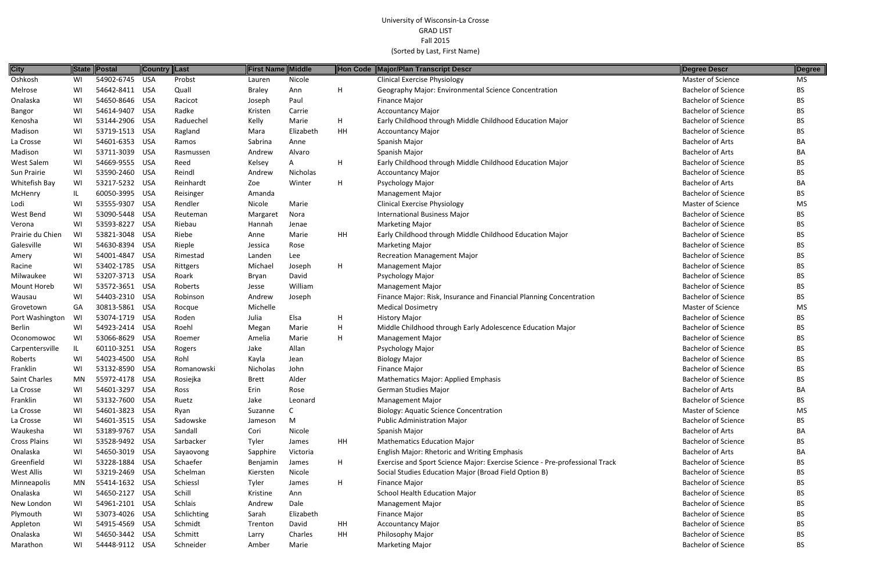| <b>City</b>       |     | State Postal   | <b>Country Last</b> |                | First Name Middle |           |           | Hon Code Major/Plan Transcript Descr                                        | Degree Descr               | Degree    |
|-------------------|-----|----------------|---------------------|----------------|-------------------|-----------|-----------|-----------------------------------------------------------------------------|----------------------------|-----------|
| Oshkosh           | WI  | 54902-6745 USA |                     | Probst         | Lauren            | Nicole    |           | <b>Clinical Exercise Physiology</b>                                         | <b>Master of Science</b>   | MS.       |
| Melrose           | WI  | 54642-8411 USA |                     | Quall          | <b>Braley</b>     | Ann       | H         | Geography Major: Environmental Science Concentration                        | <b>Bachelor of Science</b> | BS.       |
| Onalaska          | WI  | 54650-8646 USA |                     | Racicot        | Joseph            | Paul      |           | Finance Major                                                               | <b>Bachelor of Science</b> | BS.       |
| Bangor            | WI  | 54614-9407 USA |                     | Radke          | Kristen           | Carrie    |           | <b>Accountancy Major</b>                                                    | <b>Bachelor of Science</b> | BS.       |
| Kenosha           | WI  | 53144-2906 USA |                     | Raduechel      | Kelly             | Marie     | H         | Early Childhood through Middle Childhood Education Major                    | <b>Bachelor of Science</b> | ВS        |
| Madison           | WI  | 53719-1513 USA |                     | Ragland        | Mara              | Elizabeth | <b>HH</b> | <b>Accountancy Major</b>                                                    | <b>Bachelor of Science</b> | BS.       |
| La Crosse         | WI  | 54601-6353 USA |                     | Ramos          | Sabrina           | Anne      |           | Spanish Major                                                               | <b>Bachelor of Arts</b>    | <b>BA</b> |
| Madison           | WI  | 53711-3039 USA |                     | Rasmussen      | Andrew            | Alvaro    |           | Spanish Major                                                               | <b>Bachelor of Arts</b>    | BA        |
| <b>West Salem</b> | WI  | 54669-9555 USA |                     | Reed           | Kelsey            | A         | H         | Early Childhood through Middle Childhood Education Major                    | <b>Bachelor of Science</b> | BS.       |
| Sun Prairie       | WI  | 53590-2460 USA |                     | Reindl         | Andrew            | Nicholas  |           | <b>Accountancy Major</b>                                                    | <b>Bachelor of Science</b> | ВS        |
| Whitefish Bay     | WI  | 53217-5232 USA |                     | Reinhardt      | Zoe               | Winter    | H         | Psychology Major                                                            | <b>Bachelor of Arts</b>    | BA        |
| McHenry           | IL. | 60050-3995 USA |                     | Reisinger      | Amanda            |           |           | <b>Management Major</b>                                                     | <b>Bachelor of Science</b> | ВS        |
| Lodi              | WI  | 53555-9307 USA |                     | Rendler        | Nicole            | Marie     |           | <b>Clinical Exercise Physiology</b>                                         | <b>Master of Science</b>   | <b>MS</b> |
| West Bend         | WI  | 53090-5448 USA |                     | Reuteman       | Margaret          | Nora      |           | <b>International Business Major</b>                                         | <b>Bachelor of Science</b> | BS.       |
| Verona            | WI  | 53593-8227 USA |                     | Riebau         | Hannah            | Jenae     |           | <b>Marketing Major</b>                                                      | <b>Bachelor of Science</b> | BS.       |
| Prairie du Chien  | WI  | 53821-3048 USA |                     | Riebe          | Anne              | Marie     | HH        | Early Childhood through Middle Childhood Education Major                    | <b>Bachelor of Science</b> | BS.       |
| Galesville        | WI  | 54630-8394 USA |                     | Rieple         | Jessica           | Rose      |           | <b>Marketing Major</b>                                                      | <b>Bachelor of Science</b> | ВS        |
| Amery             | WI  | 54001-4847 USA |                     | Rimestad       | Landen            | Lee       |           | <b>Recreation Management Major</b>                                          | <b>Bachelor of Science</b> | BS.       |
| Racine            | WI  | 53402-1785 USA |                     | Rittgers       | Michael           | Joseph    | H         | <b>Management Major</b>                                                     | <b>Bachelor of Science</b> | <b>BS</b> |
| Milwaukee         | WI  | 53207-3713 USA |                     | Roark          | Bryan             | David     |           | Psychology Major                                                            | <b>Bachelor of Science</b> | BS.       |
| Mount Horeb       | WI  | 53572-3651 USA |                     | Roberts        | Jesse             | William   |           | <b>Management Major</b>                                                     | <b>Bachelor of Science</b> | BS.       |
| Wausau            | WI  | 54403-2310 USA |                     | Robinson       | Andrew            | Joseph    |           | Finance Major: Risk, Insurance and Financial Planning Concentration         | <b>Bachelor of Science</b> | BS.       |
| Grovetown         | GA  | 30813-5861 USA |                     | Rocque         | Michelle          |           |           | <b>Medical Dosimetry</b>                                                    | Master of Science          | MS        |
| Port Washington   | WI  | 53074-1719 USA |                     | Roden          | Julia             | Elsa      | H         | <b>History Major</b>                                                        | <b>Bachelor of Science</b> | ВS        |
| <b>Berlin</b>     | WI  | 54923-2414 USA |                     | Roehl          | Megan             | Marie     | H         | Middle Childhood through Early Adolescence Education Major                  | <b>Bachelor of Science</b> | BS.       |
| Oconomowoc        | WI  | 53066-8629 USA |                     | Roemer         | Amelia            | Marie     | H         | <b>Management Major</b>                                                     | <b>Bachelor of Science</b> | BS.       |
| Carpentersville   | IL. | 60110-3251 USA |                     | Rogers         | Jake              | Allan     |           | Psychology Major                                                            | <b>Bachelor of Science</b> | BS.       |
| Roberts           | WI  | 54023-4500 USA |                     | Rohl           | Kayla             | Jean      |           | <b>Biology Major</b>                                                        | <b>Bachelor of Science</b> | BS.       |
| Franklin          | WI  | 53132-8590 USA |                     | Romanowski     | Nicholas          | John      |           | <b>Finance Major</b>                                                        | <b>Bachelor of Science</b> | ВS        |
| Saint Charles     | MN. | 55972-4178 USA |                     | Rosiejka       | <b>Brett</b>      | Alder     |           | Mathematics Major: Applied Emphasis                                         | <b>Bachelor of Science</b> | BS.       |
| La Crosse         | WI. | 54601-3297 USA |                     | Ross           | Erin              | Rose      |           | German Studies Major                                                        | <b>Bachelor of Arts</b>    | BA        |
| Franklin          | WI  | 53132-7600 USA |                     | Ruetz          | Jake              | Leonard   |           | <b>Management Major</b>                                                     | <b>Bachelor of Science</b> | BS.       |
| La Crosse         | WI  | 54601-3823 USA |                     | Ryan           | Suzanne           |           |           | <b>Biology: Aquatic Science Concentration</b>                               | <b>Master of Science</b>   | MS        |
| La Crosse         | WI  | 54601-3515 USA |                     | Sadowske       | Jameson           | M         |           | Public Administration Major                                                 | <b>Bachelor of Science</b> | BS        |
| Waukesha          | WI  | 53189-9767 USA |                     | Sandall        | Cori              | Nicole    |           | Spanish Major                                                               | <b>Bachelor of Arts</b>    | BA        |
| Cross Plains      | WI  | 53528-9492 USA |                     | Sarbacker      | Tyler             | James     | HH        | <b>Mathematics Education Major</b>                                          | <b>Bachelor of Science</b> | ВS        |
| Onalaska          | WI  | 54650-3019 USA |                     | Sayaovong      | Sapphire          | Victoria  |           | <b>English Major: Rhetoric and Writing Emphasis</b>                         | <b>Bachelor of Arts</b>    | BА        |
| Greenfield        | WI  | 53228-1884 USA |                     | Schaefer       | Benjamin          | James     | H         | Exercise and Sport Science Major: Exercise Science - Pre-professional Track | <b>Bachelor of Science</b> | ВS        |
| West Allis        | WI  | 53219-2469 USA |                     | Schelman       | Kiersten          | Nicole    |           | Social Studies Education Major (Broad Field Option B)                       | <b>Bachelor of Science</b> | BS        |
| Minneapolis       | MN  | 55414-1632 USA |                     | Schiessl       | Tyler             | James     | H         | Finance Major                                                               | <b>Bachelor of Science</b> | ВS        |
| Onalaska          | WI  | 54650-2127 USA |                     | Schill         | Kristine          | Ann       |           | School Health Education Major                                               | <b>Bachelor of Science</b> | BS        |
| New London        | WI  | 54961-2101 USA |                     | <b>Schlais</b> | Andrew            | Dale      |           | <b>Management Major</b>                                                     | <b>Bachelor of Science</b> | BS        |
| Plymouth          | WI  | 53073-4026 USA |                     | Schlichting    | Sarah             | Elizabeth |           | Finance Major                                                               | <b>Bachelor of Science</b> | BS        |
| Appleton          | WI  | 54915-4569 USA |                     | Schmidt        | Trenton           | David     | HH        | <b>Accountancy Major</b>                                                    | <b>Bachelor of Science</b> | BS        |
| Onalaska          | WI  | 54650-3442 USA |                     | Schmitt        | Larry             | Charles   | HH        | Philosophy Major                                                            | <b>Bachelor of Science</b> | BS.       |
| Marathon          | WI  | 54448-9112 USA |                     | Schneider      | Amber             | Marie     |           | <b>Marketing Major</b>                                                      | <b>Bachelor of Science</b> | BS        |

| Degree Descr               | Degree    |
|----------------------------|-----------|
| <b>Master of Science</b>   | <b>MS</b> |
| <b>Bachelor of Science</b> | <b>BS</b> |
| <b>Bachelor of Science</b> | <b>BS</b> |
| <b>Bachelor of Science</b> | <b>BS</b> |
| <b>Bachelor of Science</b> | <b>BS</b> |
| <b>Bachelor of Science</b> | <b>BS</b> |
| <b>Bachelor of Arts</b>    | BА        |
| <b>Bachelor of Arts</b>    | BА        |
| <b>Bachelor of Science</b> | <b>BS</b> |
| <b>Bachelor of Science</b> | <b>BS</b> |
| <b>Bachelor of Arts</b>    | BA        |
| <b>Bachelor of Science</b> | BS        |
| <b>Master of Science</b>   | <b>MS</b> |
| <b>Bachelor of Science</b> | <b>BS</b> |
| <b>Bachelor of Science</b> | BS        |
| <b>Bachelor of Science</b> | <b>BS</b> |
| <b>Bachelor of Science</b> | BS        |
| <b>Bachelor of Science</b> | <b>BS</b> |
| <b>Bachelor of Science</b> | <b>BS</b> |
| <b>Bachelor of Science</b> | <b>BS</b> |
| <b>Bachelor of Science</b> | <b>BS</b> |
| <b>Bachelor of Science</b> | <b>BS</b> |
| Master of Science          | <b>MS</b> |
| <b>Bachelor of Science</b> | <b>BS</b> |
| <b>Bachelor of Science</b> | BS        |
| <b>Bachelor of Science</b> | <b>BS</b> |
| <b>Bachelor of Science</b> | BS        |
| <b>Bachelor of Science</b> | <b>BS</b> |
| <b>Bachelor of Science</b> | BS        |
| <b>Bachelor of Science</b> | <b>BS</b> |
| <b>Bachelor of Arts</b>    | BА        |
| <b>Bachelor of Science</b> | BS        |
| Master of Science          | MS        |
| <b>Bachelor of Science</b> | <b>BS</b> |
| <b>Bachelor of Arts</b>    | BA        |
| <b>Bachelor of Science</b> | <b>BS</b> |
| <b>Bachelor of Arts</b>    | BА        |
| <b>Bachelor of Science</b> | BS        |
| <b>Bachelor of Science</b> | <b>BS</b> |
| <b>Bachelor of Science</b> | <b>BS</b> |
| <b>Bachelor of Science</b> | BS        |
| <b>Bachelor of Science</b> | BS        |
| <b>Bachelor of Science</b> | <b>BS</b> |
| <b>Bachelor of Science</b> | BS        |
| <b>Bachelor of Science</b> | <b>BS</b> |
| <b>Dacholor of Scionco</b> | DС        |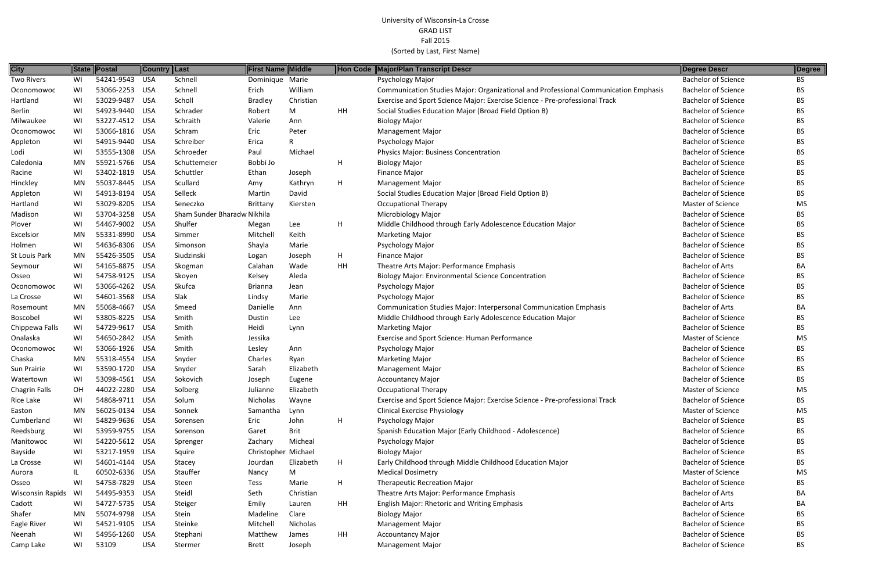| <b>City</b>             |           | State Postal   | <b>Country Last</b> |                             | <b>First Name Middle</b> |              |    | Hon Code Major/Plan Transcript Descr                                                | Degree Descr               | Degree    |
|-------------------------|-----------|----------------|---------------------|-----------------------------|--------------------------|--------------|----|-------------------------------------------------------------------------------------|----------------------------|-----------|
| <b>Two Rivers</b>       | WI        | 54241-9543     | USA                 | Schnell                     | Dominique Marie          |              |    | Psychology Major                                                                    | <b>Bachelor of Science</b> | <b>BS</b> |
| Oconomowoc              | WI        | 53066-2253     | USA                 | Schnell                     | Erich                    | William      |    | Communication Studies Major: Organizational and Professional Communication Emphasis | <b>Bachelor of Science</b> | <b>BS</b> |
| Hartland                | WI        | 53029-9487     | USA                 | Scholl                      | <b>Bradley</b>           | Christian    |    | Exercise and Sport Science Major: Exercise Science - Pre-professional Track         | <b>Bachelor of Science</b> | <b>BS</b> |
| Berlin                  | WI        | 54923-9440 USA |                     | Schrader                    | Robert                   | M            | HH | Social Studies Education Major (Broad Field Option B)                               | <b>Bachelor of Science</b> | <b>BS</b> |
| Milwaukee               | WI        | 53227-4512 USA |                     | Schraith                    | Valerie                  | Ann          |    | <b>Biology Major</b>                                                                | <b>Bachelor of Science</b> | <b>BS</b> |
| Oconomowoc              | WI        | 53066-1816 USA |                     | Schram                      | Eric                     | Peter        |    | <b>Management Major</b>                                                             | <b>Bachelor of Science</b> | <b>BS</b> |
| Appleton                | WI        | 54915-9440 USA |                     | Schreiber                   | Erica                    | $\mathsf{R}$ |    | Psychology Major                                                                    | <b>Bachelor of Science</b> | <b>BS</b> |
| Lodi                    | WI        | 53555-1308 USA |                     | Schroeder                   | Paul                     | Michael      |    | Physics Major: Business Concentration                                               | <b>Bachelor of Science</b> | BS.       |
| Caledonia               | MN        | 55921-5766 USA |                     | Schuttemeier                | Bobbi Jo                 |              | H  | <b>Biology Major</b>                                                                | <b>Bachelor of Science</b> | <b>BS</b> |
| Racine                  | WI        | 53402-1819 USA |                     | Schuttler                   | Ethan                    | Joseph       |    | Finance Major                                                                       | <b>Bachelor of Science</b> | <b>BS</b> |
| Hinckley                | <b>MN</b> | 55037-8445 USA |                     | Scullard                    | Amy                      | Kathryn      | H  | <b>Management Major</b>                                                             | <b>Bachelor of Science</b> | <b>BS</b> |
| Appleton                | WI        | 54913-8194 USA |                     | Selleck                     | Martin                   | David        |    | Social Studies Education Major (Broad Field Option B)                               | <b>Bachelor of Science</b> | <b>BS</b> |
| Hartland                | WI        | 53029-8205 USA |                     | Seneczko                    | Brittany                 | Kiersten     |    | <b>Occupational Therapy</b>                                                         | <b>Master of Science</b>   | MS        |
| Madison                 | WI        | 53704-3258 USA |                     | Sham Sunder Bharadw Nikhila |                          |              |    | <b>Microbiology Major</b>                                                           | <b>Bachelor of Science</b> | <b>BS</b> |
| Plover                  | WI        | 54467-9002 USA |                     | Shulfer                     | Megan                    | Lee          | H  | Middle Childhood through Early Adolescence Education Major                          | <b>Bachelor of Science</b> | BS.       |
| Excelsior               | <b>MN</b> | 55331-8990 USA |                     | Simmer                      | Mitchel                  | Keith        |    | <b>Marketing Major</b>                                                              | <b>Bachelor of Science</b> | <b>BS</b> |
| Holmen                  | WI        | 54636-8306 USA |                     | Simonson                    | Shayla                   | Marie        |    | Psychology Major                                                                    | <b>Bachelor of Science</b> | <b>BS</b> |
| St Louis Park           | MN        | 55426-3505 USA |                     | Siudzinski                  | Logan                    | Joseph       | H  | Finance Major                                                                       | <b>Bachelor of Science</b> | <b>BS</b> |
| Seymour                 | WI        | 54165-8875 USA |                     | Skogman                     | Calahan                  | Wade         | HH | Theatre Arts Major: Performance Emphasis                                            | <b>Bachelor of Arts</b>    | BA        |
| Osseo                   | WI        | 54758-9125 USA |                     | Skoyen                      | Kelsey                   | Aleda        |    | <b>Biology Major: Environmental Science Concentration</b>                           | <b>Bachelor of Science</b> | BS.       |
| Oconomowoc              | WI        | 53066-4262 USA |                     | Skufca                      | <b>Brianna</b>           | Jean         |    | Psychology Major                                                                    | <b>Bachelor of Science</b> | <b>BS</b> |
| La Crosse               | WI        | 54601-3568 USA |                     | Slak                        | Lindsy                   | Marie        |    | Psychology Major                                                                    | <b>Bachelor of Science</b> | <b>BS</b> |
| Rosemount               | <b>MN</b> | 55068-4667     | USA                 | Smeed                       | Danielle                 | Ann          |    | Communication Studies Major: Interpersonal Communication Emphasis                   | <b>Bachelor of Arts</b>    | BA        |
| Boscobel                | WI        | 53805-8225 USA |                     | Smith                       | Dustin                   | Lee          |    | Middle Childhood through Early Adolescence Education Major                          | <b>Bachelor of Science</b> | <b>BS</b> |
| Chippewa Falls          | WI        | 54729-9617 USA |                     | Smith                       | Heidi                    | Lynn         |    | <b>Marketing Major</b>                                                              | <b>Bachelor of Science</b> | BS.       |
| Onalaska                | WI        | 54650-2842 USA |                     | Smith                       | Jessika                  |              |    | Exercise and Sport Science: Human Performance                                       | Master of Science          | MS        |
| Oconomowoc              | WI        | 53066-1926 USA |                     | Smith                       | Lesley                   | Ann          |    | Psychology Major                                                                    | <b>Bachelor of Science</b> | BS.       |
| Chaska                  | MN        | 55318-4554 USA |                     | Snyder                      | Charles                  | Ryan         |    | <b>Marketing Major</b>                                                              | <b>Bachelor of Science</b> | <b>BS</b> |
| Sun Prairie             | WI        | 53590-1720 USA |                     | Snyder                      | Sarah                    | Elizabeth    |    | <b>Management Major</b>                                                             | <b>Bachelor of Science</b> | BS.       |
| Watertown               | WI        | 53098-4561 USA |                     | Sokovich                    | Joseph                   | Eugene       |    | <b>Accountancy Major</b>                                                            | <b>Bachelor of Science</b> | <b>BS</b> |
| <b>Chagrin Falls</b>    | ЮH        | 44022-2280 USA |                     | Solberg                     | Julianne                 | Elizabeth    |    | <b>Occupational Therapy</b>                                                         | Master of Science          | MS        |
| Rice Lake               | WI        | 54868-9711 USA |                     | Solum                       | Nicholas                 | Wayne        |    | Exercise and Sport Science Major: Exercise Science - Pre-professional Track         | <b>Bachelor of Science</b> | BS.       |
| Easton                  | MN        | 56025-0134 USA |                     | Sonnek                      | Samantha                 | Lynn         |    | <b>Clinical Exercise Physiology</b>                                                 | Master of Science          | MS        |
| Cumberland              | WI        | 54829-9636 USA |                     | Sorensen                    | Eric                     | John         | H  | Psychology Major                                                                    | <b>Bachelor of Science</b> | <b>BS</b> |
| Reedsburg               | WI        | 53959-9755 USA |                     | Sorenson                    | Garet                    | <b>Brit</b>  |    | Spanish Education Major (Early Childhood - Adolescence)                             | <b>Bachelor of Science</b> | <b>BS</b> |
| Manitowoc               | WI        | 54220-5612 USA |                     | Sprenger                    | Zachary                  | Micheal      |    | Psychology Major                                                                    | <b>Bachelor of Science</b> | <b>BS</b> |
| Bayside                 | WI        | 53217-1959 USA |                     | Squire                      | Christopher Michael      |              |    | <b>Biology Major</b>                                                                | <b>Bachelor of Science</b> | <b>BS</b> |
| La Crosse               | WI        | 54601-4144 USA |                     | Stacey                      | Jourdan                  | Elizabeth    | H  | Early Childhood through Middle Childhood Education Major                            | <b>Bachelor of Science</b> | <b>BS</b> |
| Aurora                  |           | 60502-6336 USA |                     | Stauffer                    | Nancy                    | M            |    | <b>Medical Dosimetry</b>                                                            | Master of Science          | MS        |
| Osseo                   | WI        | 54758-7829 USA |                     | Steen                       | Tess                     | Marie        | H  | <b>Therapeutic Recreation Major</b>                                                 | <b>Bachelor of Science</b> | <b>BS</b> |
| <b>Wisconsin Rapids</b> | WI        | 54495-9353 USA |                     | Steidl                      | Seth                     | Christian    |    | Theatre Arts Major: Performance Emphasis                                            | <b>Bachelor of Arts</b>    | BA        |
| Cadott                  | WI        | 54727-5735 USA |                     | Steiger                     | Emily                    | Lauren       | HH | English Major: Rhetoric and Writing Emphasis                                        | <b>Bachelor of Arts</b>    | BA        |
| Shafer                  | MN        | 55074-9798 USA |                     | Stein                       | Madeline                 | Clare        |    | <b>Biology Major</b>                                                                | <b>Bachelor of Science</b> | <b>BS</b> |
| Eagle River             | WI        | 54521-9105 USA |                     | Steinke                     | Mitchell                 | Nicholas     |    | <b>Management Major</b>                                                             | <b>Bachelor of Science</b> | <b>BS</b> |
| Neenah                  | WI        | 54956-1260     | USA                 | Stephani                    | Matthew                  | James        | HH | <b>Accountancy Major</b>                                                            | <b>Bachelor of Science</b> | <b>BS</b> |
| Camp Lake               | WI        | 53109          | <b>USA</b>          | Stermer                     | <b>Brett</b>             | Joseph       |    | <b>Management Major</b>                                                             | <b>Bachelor of Science</b> | <b>BS</b> |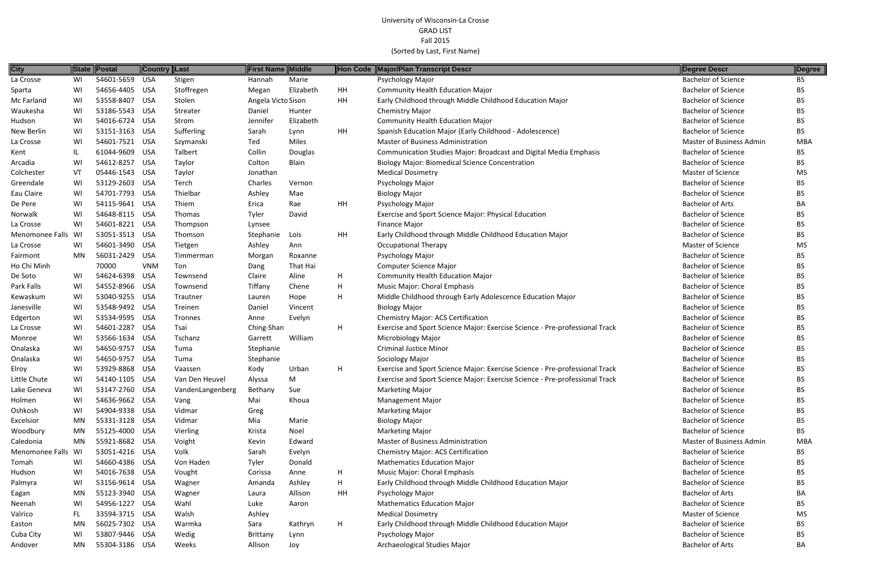| <b>City</b><br><b>First Name Middle</b><br>State Postal<br>Country Last<br>Hon Code Major/Plan Transcript Descr<br>54601-5659 USA<br>Stigen<br>Marie<br>Psychology Major<br>La Crosse<br>WI<br>Hannah<br>Stoffregen<br><b>Community Health Education Major</b><br>WI<br>54656-4405 USA<br>Elizabeth<br>HH<br>Sparta<br>Megan<br>53558-8407<br>Angela Victo Sison<br><b>HH</b><br>Early Childhood through Middle Childhood Education Major<br>Mc Farland<br>WI<br>USA<br>Stolen<br>53186-5543<br><b>USA</b><br>Waukesha<br>WI<br>Streater<br>Daniel<br><b>Chemistry Major</b><br>Hunter<br>54016-6724 USA<br>Jennifer<br>Elizabeth<br><b>Community Health Education Major</b><br>Hudson<br>WI<br>Strom<br>53151-3163 USA<br>Sufferling<br>HH<br>Spanish Education Major (Early Childhood - Adolescence)<br>New Berlin<br>WI<br>Sarah<br>Lynn<br>54601-7521 USA<br><b>Master of Business Administration</b><br>WI<br>Ted<br>Miles<br>La Crosse<br>Szymanski<br>61044-9609 USA<br>Collin<br>Talbert<br>Douglas<br>Communication Studies Major: Broadcast and Digital Media Emphasis<br>Kent<br>IL. | Degree Descr<br><b>Bachelor of Science</b><br><b>Bachelor of Science</b><br><b>Bachelor of Science</b><br><b>Bachelor of Science</b><br><b>Bachelor of Science</b><br><b>Bachelor of Science</b><br>Master of Business Admin<br><b>Bachelor of Science</b><br><b>Bachelor of Science</b> | Degree<br><b>BS</b><br>BS.<br>BS.<br>BS.<br><b>BS</b><br>BS.<br><b>MBA</b><br>BS. |
|-------------------------------------------------------------------------------------------------------------------------------------------------------------------------------------------------------------------------------------------------------------------------------------------------------------------------------------------------------------------------------------------------------------------------------------------------------------------------------------------------------------------------------------------------------------------------------------------------------------------------------------------------------------------------------------------------------------------------------------------------------------------------------------------------------------------------------------------------------------------------------------------------------------------------------------------------------------------------------------------------------------------------------------------------------------------------------------------------|------------------------------------------------------------------------------------------------------------------------------------------------------------------------------------------------------------------------------------------------------------------------------------------|-----------------------------------------------------------------------------------|
|                                                                                                                                                                                                                                                                                                                                                                                                                                                                                                                                                                                                                                                                                                                                                                                                                                                                                                                                                                                                                                                                                                 |                                                                                                                                                                                                                                                                                          |                                                                                   |
|                                                                                                                                                                                                                                                                                                                                                                                                                                                                                                                                                                                                                                                                                                                                                                                                                                                                                                                                                                                                                                                                                                 |                                                                                                                                                                                                                                                                                          |                                                                                   |
|                                                                                                                                                                                                                                                                                                                                                                                                                                                                                                                                                                                                                                                                                                                                                                                                                                                                                                                                                                                                                                                                                                 |                                                                                                                                                                                                                                                                                          |                                                                                   |
|                                                                                                                                                                                                                                                                                                                                                                                                                                                                                                                                                                                                                                                                                                                                                                                                                                                                                                                                                                                                                                                                                                 |                                                                                                                                                                                                                                                                                          |                                                                                   |
|                                                                                                                                                                                                                                                                                                                                                                                                                                                                                                                                                                                                                                                                                                                                                                                                                                                                                                                                                                                                                                                                                                 |                                                                                                                                                                                                                                                                                          |                                                                                   |
|                                                                                                                                                                                                                                                                                                                                                                                                                                                                                                                                                                                                                                                                                                                                                                                                                                                                                                                                                                                                                                                                                                 |                                                                                                                                                                                                                                                                                          |                                                                                   |
|                                                                                                                                                                                                                                                                                                                                                                                                                                                                                                                                                                                                                                                                                                                                                                                                                                                                                                                                                                                                                                                                                                 |                                                                                                                                                                                                                                                                                          |                                                                                   |
|                                                                                                                                                                                                                                                                                                                                                                                                                                                                                                                                                                                                                                                                                                                                                                                                                                                                                                                                                                                                                                                                                                 |                                                                                                                                                                                                                                                                                          |                                                                                   |
| WI<br>54612-8257<br>USA<br>Taylor<br>Colton<br>Blain<br><b>Biology Major: Biomedical Science Concentration</b><br>Arcadia                                                                                                                                                                                                                                                                                                                                                                                                                                                                                                                                                                                                                                                                                                                                                                                                                                                                                                                                                                       |                                                                                                                                                                                                                                                                                          | BS.                                                                               |
| 05446-1543 USA<br>Colchester<br>VT<br>Taylor<br>Jonathan<br><b>Medical Dosimetry</b>                                                                                                                                                                                                                                                                                                                                                                                                                                                                                                                                                                                                                                                                                                                                                                                                                                                                                                                                                                                                            | Master of Science                                                                                                                                                                                                                                                                        | <b>MS</b>                                                                         |
| 53129-2603<br>USA<br>Greendale<br>WI<br>Terch<br>Charles<br>Vernon<br>Psychology Major                                                                                                                                                                                                                                                                                                                                                                                                                                                                                                                                                                                                                                                                                                                                                                                                                                                                                                                                                                                                          | <b>Bachelor of Science</b>                                                                                                                                                                                                                                                               | ВS                                                                                |
| 54701-7793 USA<br>Thielbar<br><b>Biology Major</b><br>Eau Claire<br>WI<br>Ashley<br>Mae                                                                                                                                                                                                                                                                                                                                                                                                                                                                                                                                                                                                                                                                                                                                                                                                                                                                                                                                                                                                         | <b>Bachelor of Science</b>                                                                                                                                                                                                                                                               | BS.                                                                               |
| 54115-9641 USA<br>HH<br>Psychology Major<br>De Pere<br>WI<br>Thiem<br>Erica<br>Rae                                                                                                                                                                                                                                                                                                                                                                                                                                                                                                                                                                                                                                                                                                                                                                                                                                                                                                                                                                                                              | <b>Bachelor of Arts</b>                                                                                                                                                                                                                                                                  | BA                                                                                |
| 54648-8115 USA<br>Norwalk<br>WI<br>Thomas<br>Tyler<br>David<br>Exercise and Sport Science Major: Physical Education                                                                                                                                                                                                                                                                                                                                                                                                                                                                                                                                                                                                                                                                                                                                                                                                                                                                                                                                                                             | <b>Bachelor of Science</b>                                                                                                                                                                                                                                                               | BS.                                                                               |
| 54601-8221 USA<br><b>Finance Major</b><br>La Crosse<br>WI<br>Thompson<br>Lynsee                                                                                                                                                                                                                                                                                                                                                                                                                                                                                                                                                                                                                                                                                                                                                                                                                                                                                                                                                                                                                 | <b>Bachelor of Science</b>                                                                                                                                                                                                                                                               | BS.                                                                               |
| <b>HH</b><br>Menomonee Falls WI<br>53051-3513 USA<br>Thomson<br>Stephanie<br>Lois<br>Early Childhood through Middle Childhood Education Major                                                                                                                                                                                                                                                                                                                                                                                                                                                                                                                                                                                                                                                                                                                                                                                                                                                                                                                                                   | <b>Bachelor of Science</b>                                                                                                                                                                                                                                                               | ВS                                                                                |
| 54601-3490 USA<br>La Crosse<br>WI<br>Ashley<br><b>Occupational Therapy</b><br>Tietgen<br>Ann                                                                                                                                                                                                                                                                                                                                                                                                                                                                                                                                                                                                                                                                                                                                                                                                                                                                                                                                                                                                    | Master of Science                                                                                                                                                                                                                                                                        | <b>MS</b>                                                                         |
| 56031-2429<br>USA<br>Psychology Major<br>Fairmont<br>MN<br>Morgan<br>Roxanne<br>Timmerman                                                                                                                                                                                                                                                                                                                                                                                                                                                                                                                                                                                                                                                                                                                                                                                                                                                                                                                                                                                                       | <b>Bachelor of Science</b>                                                                                                                                                                                                                                                               | BS.                                                                               |
| Ho Chi Minh<br>70000<br>Ton<br><b>Computer Science Major</b><br><b>VNM</b><br>That Hai<br>Dang                                                                                                                                                                                                                                                                                                                                                                                                                                                                                                                                                                                                                                                                                                                                                                                                                                                                                                                                                                                                  | <b>Bachelor of Science</b>                                                                                                                                                                                                                                                               | BS.                                                                               |
| 54624-6398 USA<br><b>Community Health Education Major</b><br>WI<br>Claire<br>Aline<br>H.<br>De Soto<br>Townsend                                                                                                                                                                                                                                                                                                                                                                                                                                                                                                                                                                                                                                                                                                                                                                                                                                                                                                                                                                                 | <b>Bachelor of Science</b>                                                                                                                                                                                                                                                               | BS.                                                                               |
| Park Falls<br>54552-8966 USA<br>Chene<br>H.<br>Music Major: Choral Emphasis<br>WI<br>Tiffany<br>Townsend                                                                                                                                                                                                                                                                                                                                                                                                                                                                                                                                                                                                                                                                                                                                                                                                                                                                                                                                                                                        | <b>Bachelor of Science</b>                                                                                                                                                                                                                                                               | BS.                                                                               |
| 53040-9255 USA<br>Middle Childhood through Early Adolescence Education Major<br>WI<br>Н.<br>Kewaskum<br>Trautner<br>Hope<br>Lauren                                                                                                                                                                                                                                                                                                                                                                                                                                                                                                                                                                                                                                                                                                                                                                                                                                                                                                                                                              | <b>Bachelor of Science</b>                                                                                                                                                                                                                                                               | BS.                                                                               |
| Janesville<br>53548-9492 USA<br>WI<br>Treinen<br>Daniel<br><b>Biology Major</b><br>Vincent                                                                                                                                                                                                                                                                                                                                                                                                                                                                                                                                                                                                                                                                                                                                                                                                                                                                                                                                                                                                      | <b>Bachelor of Science</b>                                                                                                                                                                                                                                                               | <b>BS</b>                                                                         |
| 53534-9595 USA<br><b>Chemistry Major: ACS Certification</b><br>WI<br>Evelyn<br>Edgerton<br>Tronnes<br>Anne                                                                                                                                                                                                                                                                                                                                                                                                                                                                                                                                                                                                                                                                                                                                                                                                                                                                                                                                                                                      | <b>Bachelor of Science</b>                                                                                                                                                                                                                                                               | BS.                                                                               |
| 54601-2287<br>La Crosse<br>WI<br>USA<br>Tsai<br>Ching-Shan<br>Н.<br>Exercise and Sport Science Major: Exercise Science - Pre-professional Track                                                                                                                                                                                                                                                                                                                                                                                                                                                                                                                                                                                                                                                                                                                                                                                                                                                                                                                                                 | <b>Bachelor of Science</b>                                                                                                                                                                                                                                                               | BS.                                                                               |
| 53566-1634 USA<br>William<br>WI<br>Tschanz<br><b>Microbiology Major</b><br>Garrett<br>Monroe                                                                                                                                                                                                                                                                                                                                                                                                                                                                                                                                                                                                                                                                                                                                                                                                                                                                                                                                                                                                    | <b>Bachelor of Science</b>                                                                                                                                                                                                                                                               | BS.                                                                               |
| 54650-9757 USA<br>Stephanie<br><b>Criminal Justice Minor</b><br>WI<br>Onalaska<br>Tuma                                                                                                                                                                                                                                                                                                                                                                                                                                                                                                                                                                                                                                                                                                                                                                                                                                                                                                                                                                                                          | <b>Bachelor of Science</b>                                                                                                                                                                                                                                                               | BS.                                                                               |
| Stephanie<br>Onalaska<br>WI<br>54650-9757<br>USA<br>Sociology Major<br>Tuma                                                                                                                                                                                                                                                                                                                                                                                                                                                                                                                                                                                                                                                                                                                                                                                                                                                                                                                                                                                                                     | <b>Bachelor of Science</b>                                                                                                                                                                                                                                                               | <b>BS</b>                                                                         |
| WI<br>53929-8868 USA<br>Exercise and Sport Science Major: Exercise Science - Pre-professional Track<br>Elroy<br>Kody<br>H<br>Vaassen<br>Urban                                                                                                                                                                                                                                                                                                                                                                                                                                                                                                                                                                                                                                                                                                                                                                                                                                                                                                                                                   | <b>Bachelor of Science</b>                                                                                                                                                                                                                                                               | ВS                                                                                |
| Little Chute<br>WI<br>54140-1105 USA<br>M<br>Van Den Heuvel<br>Alyssa<br>Exercise and Sport Science Major: Exercise Science - Pre-professional Track                                                                                                                                                                                                                                                                                                                                                                                                                                                                                                                                                                                                                                                                                                                                                                                                                                                                                                                                            | <b>Bachelor of Science</b>                                                                                                                                                                                                                                                               | <b>BS</b>                                                                         |
| Lake Geneva<br>53147-2760 USA<br>Sue<br>WI.<br>VandenLangenberg<br>Bethany<br><b>Marketing Major</b>                                                                                                                                                                                                                                                                                                                                                                                                                                                                                                                                                                                                                                                                                                                                                                                                                                                                                                                                                                                            | <b>Bachelor of Science</b>                                                                                                                                                                                                                                                               | BS.                                                                               |
| 54636-9662 USA<br>Khoua<br><b>Management Major</b><br>Holmen<br>WI<br>Vang<br>Mai                                                                                                                                                                                                                                                                                                                                                                                                                                                                                                                                                                                                                                                                                                                                                                                                                                                                                                                                                                                                               | <b>Bachelor of Science</b>                                                                                                                                                                                                                                                               | BS.                                                                               |
| WI<br>54904-9338 USA<br>Oshkosh<br>Vidmar<br><b>Marketing Major</b><br>Greg                                                                                                                                                                                                                                                                                                                                                                                                                                                                                                                                                                                                                                                                                                                                                                                                                                                                                                                                                                                                                     | <b>Bachelor of Science</b>                                                                                                                                                                                                                                                               | BS.                                                                               |
| 55331-3128 USA<br><b>Biology Major</b><br>Excelsior<br>MN<br>Vidmar<br>Marie<br>Mia                                                                                                                                                                                                                                                                                                                                                                                                                                                                                                                                                                                                                                                                                                                                                                                                                                                                                                                                                                                                             | <b>Bachelor of Science</b>                                                                                                                                                                                                                                                               | BS.                                                                               |
| 55125-4000 USA<br>Noel<br>Woodbury<br>MN<br>Vierling<br><b>Marketing Major</b><br>Krista                                                                                                                                                                                                                                                                                                                                                                                                                                                                                                                                                                                                                                                                                                                                                                                                                                                                                                                                                                                                        | <b>Bachelor of Science</b>                                                                                                                                                                                                                                                               | BS.                                                                               |
| 55921-8682 USA<br>Edward<br><b>Master of Business Administration</b><br>Caledonia<br>MN<br>Voight<br>Kevin                                                                                                                                                                                                                                                                                                                                                                                                                                                                                                                                                                                                                                                                                                                                                                                                                                                                                                                                                                                      | Master of Business Admin                                                                                                                                                                                                                                                                 | <b>MBA</b>                                                                        |
| 53051-4216 USA<br>Volk<br>Menomonee Falls WI<br>Evelyn<br><b>Chemistry Major: ACS Certification</b><br>Sarah                                                                                                                                                                                                                                                                                                                                                                                                                                                                                                                                                                                                                                                                                                                                                                                                                                                                                                                                                                                    | <b>Bachelor of Science</b>                                                                                                                                                                                                                                                               | BS.                                                                               |
| 54660-4386 USA<br>Von Haden<br>Tyler<br>Donald<br><b>Mathematics Education Major</b><br>Tomah<br>WI                                                                                                                                                                                                                                                                                                                                                                                                                                                                                                                                                                                                                                                                                                                                                                                                                                                                                                                                                                                             | <b>Bachelor of Science</b>                                                                                                                                                                                                                                                               | ВS                                                                                |
| 54016-7638 USA<br>Music Major: Choral Emphasis<br>Hudson<br>H.<br>WI<br>Vought<br>Corissa<br>Anne                                                                                                                                                                                                                                                                                                                                                                                                                                                                                                                                                                                                                                                                                                                                                                                                                                                                                                                                                                                               | <b>Bachelor of Science</b>                                                                                                                                                                                                                                                               | BS.                                                                               |
| 53156-9614 USA<br>H<br>Early Childhood through Middle Childhood Education Major<br>Palmyra<br>WI<br>Ashley<br>Wagner<br>Amanda                                                                                                                                                                                                                                                                                                                                                                                                                                                                                                                                                                                                                                                                                                                                                                                                                                                                                                                                                                  | <b>Bachelor of Science</b>                                                                                                                                                                                                                                                               | BS.                                                                               |
| 55123-3940 USA<br>MN<br>Allison<br>HH<br>Psychology Major<br>Eagan<br>Wagner<br>Laura                                                                                                                                                                                                                                                                                                                                                                                                                                                                                                                                                                                                                                                                                                                                                                                                                                                                                                                                                                                                           | <b>Bachelor of Arts</b>                                                                                                                                                                                                                                                                  | BA                                                                                |
| 54956-1227 USA<br>Wahl<br>WI<br>Luke<br><b>Mathematics Education Major</b><br>Neenah<br>Aaron                                                                                                                                                                                                                                                                                                                                                                                                                                                                                                                                                                                                                                                                                                                                                                                                                                                                                                                                                                                                   | <b>Bachelor of Science</b>                                                                                                                                                                                                                                                               | ВS                                                                                |
| 33594-3715 USA<br>Walsh<br><b>Medical Dosimetry</b><br>Valrico<br>FL.<br>Ashley                                                                                                                                                                                                                                                                                                                                                                                                                                                                                                                                                                                                                                                                                                                                                                                                                                                                                                                                                                                                                 | Master of Science                                                                                                                                                                                                                                                                        | MS                                                                                |
| 56025-7302 USA<br>H<br>MN<br>Kathryn<br>Early Childhood through Middle Childhood Education Major<br>Easton<br>Warmka<br>Sara                                                                                                                                                                                                                                                                                                                                                                                                                                                                                                                                                                                                                                                                                                                                                                                                                                                                                                                                                                    | <b>Bachelor of Science</b>                                                                                                                                                                                                                                                               | BS.                                                                               |
| 53807-9446 USA<br>Cuba City<br>WI<br>Wedig<br><b>Brittany</b><br><b>Psychology Major</b><br>Lynn                                                                                                                                                                                                                                                                                                                                                                                                                                                                                                                                                                                                                                                                                                                                                                                                                                                                                                                                                                                                | <b>Bachelor of Science</b>                                                                                                                                                                                                                                                               | BS.                                                                               |
| 55304-3186 USA<br>MN<br>Weeks<br>Allison<br>Archaeological Studies Major<br>Andover<br>Joy                                                                                                                                                                                                                                                                                                                                                                                                                                                                                                                                                                                                                                                                                                                                                                                                                                                                                                                                                                                                      | <b>Bachelor of Arts</b>                                                                                                                                                                                                                                                                  | BA                                                                                |

| <b>Degree Descr</b>        | Degree     |
|----------------------------|------------|
| <b>Bachelor of Science</b> | ΒS         |
| <b>Bachelor of Science</b> | BS         |
| <b>Bachelor of Science</b> | <b>BS</b>  |
| <b>Bachelor of Science</b> | <b>BS</b>  |
| <b>Bachelor of Science</b> | <b>BS</b>  |
| <b>Bachelor of Science</b> | BS         |
| Master of Business Admin   | <b>MBA</b> |
| <b>Bachelor of Science</b> | <b>BS</b>  |
| <b>Bachelor of Science</b> | <b>BS</b>  |
| <b>Master of Science</b>   | MS         |
| <b>Bachelor of Science</b> | <b>BS</b>  |
| <b>Bachelor of Science</b> | <b>BS</b>  |
| <b>Bachelor of Arts</b>    | BА         |
| <b>Bachelor of Science</b> | <b>BS</b>  |
| <b>Bachelor of Science</b> | <b>BS</b>  |
| <b>Bachelor of Science</b> | <b>BS</b>  |
| <b>Master of Science</b>   | <b>MS</b>  |
| <b>Bachelor of Science</b> | BS         |
| <b>Bachelor of Science</b> | <b>BS</b>  |
| <b>Bachelor of Science</b> | BS         |
| <b>Bachelor of Science</b> | BS         |
| <b>Bachelor of Science</b> | BS         |
| <b>Bachelor of Science</b> | BS         |
| <b>Bachelor of Science</b> | <b>BS</b>  |
| <b>Bachelor of Science</b> | <b>BS</b>  |
| <b>Bachelor of Science</b> | BS         |
| <b>Bachelor of Science</b> | BS         |
| <b>Bachelor of Science</b> | BS         |
| <b>Bachelor of Science</b> | ΒS         |
| <b>Bachelor of Science</b> | BS         |
| <b>Bachelor of Science</b> | ВS         |
| <b>Bachelor of Science</b> | BS         |
| <b>Bachelor of Science</b> | BS         |
| <b>Bachelor of Science</b> | BS         |
| <b>Bachelor of Science</b> | <b>BS</b>  |
| Master of Business Admin   | <b>MBA</b> |
| <b>Bachelor of Science</b> | BS         |
| <b>Bachelor of Science</b> | BS         |
| <b>Bachelor of Science</b> | BS         |
| <b>Bachelor of Science</b> | <b>BS</b>  |
| <b>Bachelor of Arts</b>    | BA         |
| <b>Bachelor of Science</b> | <b>BS</b>  |
| <b>Master of Science</b>   | MS         |
| <b>Bachelor of Science</b> | ΒS         |
| <b>Bachelor of Science</b> | BS         |
| <b>Bachelor of Arts</b>    | RΔ         |